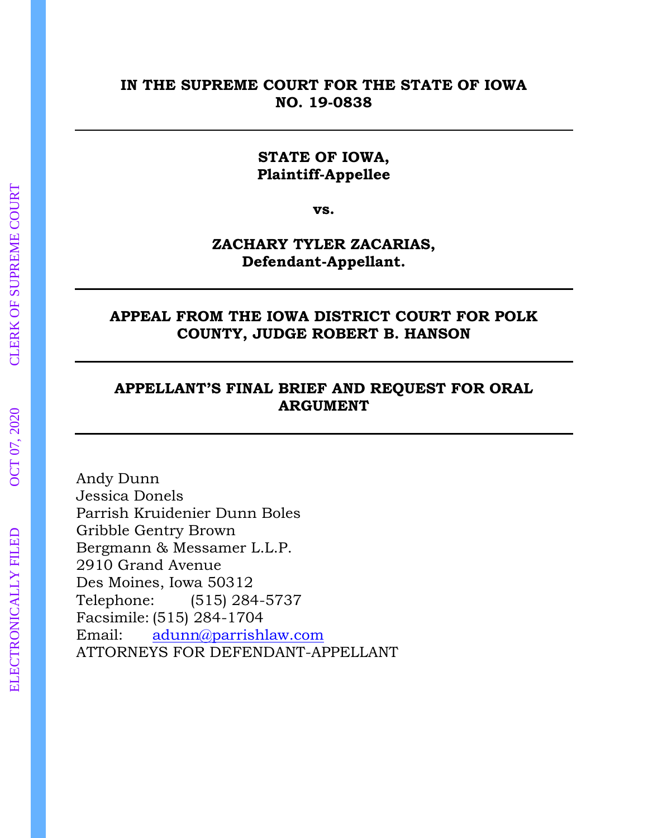### **IN THE SUPREME COURT FOR THE STATE OF IOWA NO. 19-0838**

### **STATE OF IOWA, Plaintiff-Appellee**

**vs.**

## **ZACHARY TYLER ZACARIAS, Defendant-Appellant.**

### **APPEAL FROM THE IOWA DISTRICT COURT FOR POLK COUNTY, JUDGE ROBERT B. HANSON**

# **APPELLANT'S FINAL BRIEF AND REQUEST FOR ORAL ARGUMENT**

Andy Dunn Jessica Donels Parrish Kruidenier Dunn Boles Gribble Gentry Brown Bergmann & Messamer L.L.P. 2910 Grand Avenue Des Moines, Iowa 50312 Telephone: (515) 284-5737 Facsimile: (515) 284-1704 Email: [adunn@parrishlaw.com](mailto:adunn@parrishlaw.com) ATTORNEYS FOR DEFENDANT-APPELLANT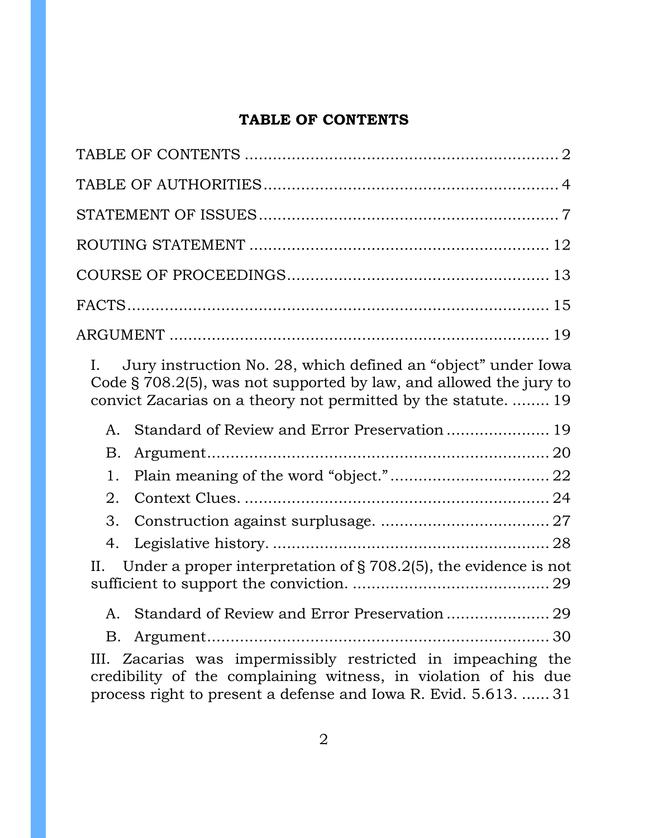# **TABLE OF CONTENTS**

<span id="page-1-0"></span>

| Jury instruction No. 28, which defined an "object" under Iowa<br>L.<br>Code § 708.2(5), was not supported by law, and allowed the jury to<br>convict Zacarias on a theory not permitted by the statute.  19 |
|-------------------------------------------------------------------------------------------------------------------------------------------------------------------------------------------------------------|
| Standard of Review and Error Preservation 19<br>A.                                                                                                                                                          |
| Β.                                                                                                                                                                                                          |
| 1.                                                                                                                                                                                                          |
| 2.                                                                                                                                                                                                          |
| 3.                                                                                                                                                                                                          |
| 4.                                                                                                                                                                                                          |
| Under a proper interpretation of $\S 708.2(5)$ , the evidence is not<br>II.                                                                                                                                 |
|                                                                                                                                                                                                             |
| B.                                                                                                                                                                                                          |
| III. Zacarias was impermissibly restricted in impeaching the<br>credibility of the complaining witness, in violation of his due<br>process right to present a defense and Iowa R. Evid. 5.613.  31          |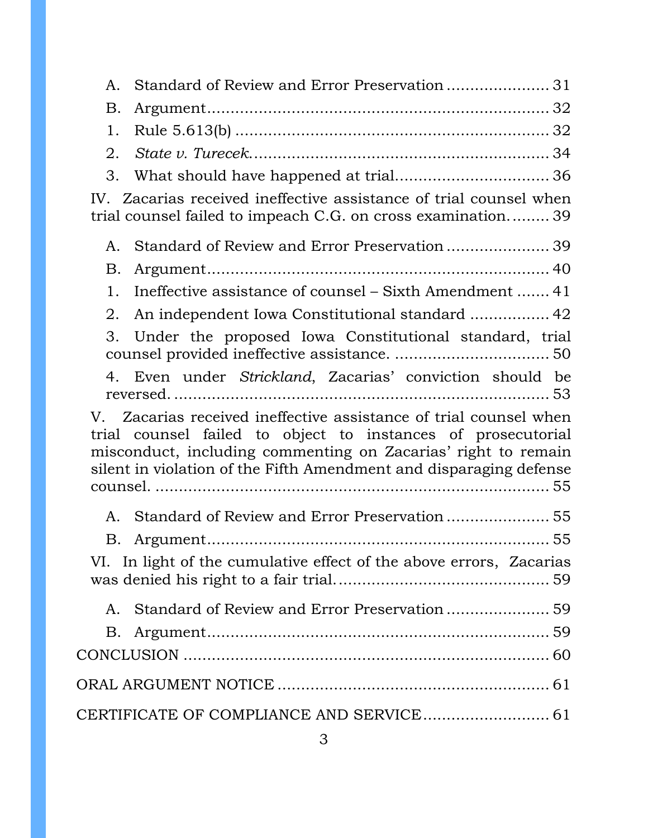| А.                                                                                                                                                                                                                                                                       |
|--------------------------------------------------------------------------------------------------------------------------------------------------------------------------------------------------------------------------------------------------------------------------|
| B.                                                                                                                                                                                                                                                                       |
| 1.                                                                                                                                                                                                                                                                       |
| 2.                                                                                                                                                                                                                                                                       |
|                                                                                                                                                                                                                                                                          |
| 3.                                                                                                                                                                                                                                                                       |
| IV. Zacarias received ineffective assistance of trial counsel when<br>trial counsel failed to impeach C.G. on cross examination39                                                                                                                                        |
| A.                                                                                                                                                                                                                                                                       |
| Β.                                                                                                                                                                                                                                                                       |
| Ineffective assistance of counsel – Sixth Amendment  41<br>1.                                                                                                                                                                                                            |
| An independent Iowa Constitutional standard  42<br>2.                                                                                                                                                                                                                    |
| Under the proposed Iowa Constitutional standard, trial<br>3.                                                                                                                                                                                                             |
| 4. Even under Strickland, Zacarias' conviction should be                                                                                                                                                                                                                 |
| V. Zacarias received ineffective assistance of trial counsel when<br>trial counsel failed to object to instances of prosecutorial<br>misconduct, including commenting on Zacarias' right to remain<br>silent in violation of the Fifth Amendment and disparaging defense |
| A.                                                                                                                                                                                                                                                                       |
| Β.<br>VI. In light of the cumulative effect of the above errors, Zacarias                                                                                                                                                                                                |
| Standard of Review and Error Preservation 59<br>Α.                                                                                                                                                                                                                       |
| Β.                                                                                                                                                                                                                                                                       |
|                                                                                                                                                                                                                                                                          |
|                                                                                                                                                                                                                                                                          |
| CERTIFICATE OF COMPLIANCE AND SERVICE 61                                                                                                                                                                                                                                 |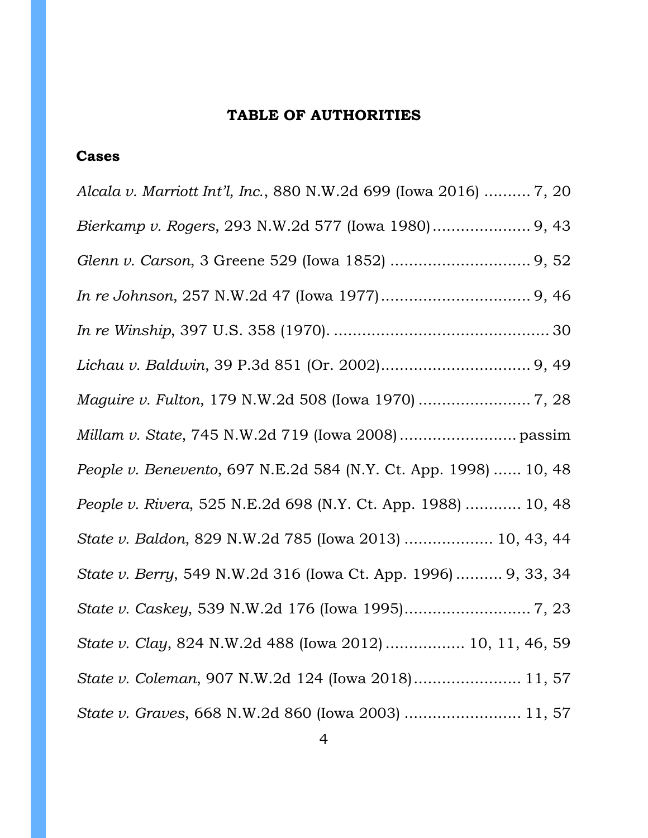#### **TABLE OF AUTHORITIES**

#### <span id="page-3-0"></span>**Cases**

*Alcala v. Marriott Int'l, Inc.*, 880 N.W.2d 699 (Iowa 2016) .......... 7, 20 *Bierkamp v. Rogers*, 293 N.W.2d 577 (Iowa 1980)..................... 9, 43 *Glenn v. Carson*, 3 Greene 529 (Iowa 1852) .............................. 9, 52 *In re Johnson*, 257 N.W.2d 47 (Iowa 1977)................................ 9, 46 *In re Winship*, 397 U.S. 358 (1970). .............................................. 30 *Lichau v. Baldwin*, 39 P.3d 851 (Or. 2002)................................ 9, 49 *Maguire v. Fulton*, 179 N.W.2d 508 (Iowa 1970) ........................ 7, 28 *Millam v. State*, 745 N.W.2d 719 (Iowa 2008)......................... passim *People v. Benevento*, 697 N.E.2d 584 (N.Y. Ct. App. 1998) ...... 10, 48 *People v. Rivera*, 525 N.E.2d 698 (N.Y. Ct. App. 1988) ............ 10, 48 *State v. Baldon*, 829 N.W.2d 785 (Iowa 2013) ................... 10, 43, 44 *State v. Berry*, 549 N.W.2d 316 (Iowa Ct. App. 1996) .......... 9, 33, 34 *State v. Caskey*, 539 N.W.2d 176 (Iowa 1995)........................... 7, 23 *State v. Clay*, 824 N.W.2d 488 (Iowa 2012) ................. 10, 11, 46, 59 *State v. Coleman*, 907 N.W.2d 124 (Iowa 2018)....................... 11, 57 *State v. Graves*, 668 N.W.2d 860 (Iowa 2003) ......................... 11, 57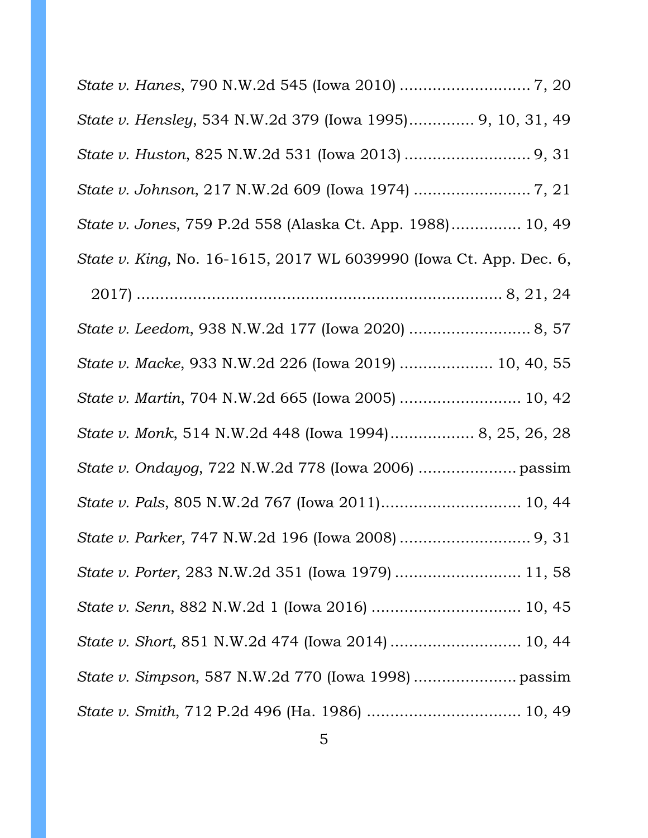*State v. Hanes*, 790 N.W.2d 545 (Iowa 2010) ............................ 7, 20 *State v. Hensley*, 534 N.W.2d 379 (Iowa 1995).............. 9, 10, 31, 49 *State v. Huston*, 825 N.W.2d 531 (Iowa 2013) ........................... 9, 31 *State v. Johnson*, 217 N.W.2d 609 (Iowa 1974) ......................... 7, 21 *State v. Jones*, 759 P.2d 558 (Alaska Ct. App. 1988)............... 10, 49 *State v. King*, No. 16-1615, 2017 WL 6039990 (Iowa Ct. App. Dec. 6, 2017) .............................................................................. 8, 21, 24 *State v. Leedom*, 938 N.W.2d 177 (Iowa 2020) .......................... 8, 57 *State v. Macke*, 933 N.W.2d 226 (Iowa 2019) .................... 10, 40, 55 *State v. Martin*, 704 N.W.2d 665 (Iowa 2005) .......................... 10, 42 *State v. Monk*, 514 N.W.2d 448 (Iowa 1994).................. 8, 25, 26, 28 *State v. Ondayog*, 722 N.W.2d 778 (Iowa 2006) ..................... passim *State v. Pals*, 805 N.W.2d 767 (Iowa 2011).............................. 10, 44 *State v. Parker*, 747 N.W.2d 196 (Iowa 2008) ............................ 9, 31 *State v. Porter*, 283 N.W.2d 351 (Iowa 1979) ........................... 11, 58 *State v. Senn*, 882 N.W.2d 1 (Iowa 2016) ................................ 10, 45 *State v. Short*, 851 N.W.2d 474 (Iowa 2014) ............................ 10, 44 *State v. Simpson*, 587 N.W.2d 770 (Iowa 1998) ...................... passim *State v. Smith*, 712 P.2d 496 (Ha. 1986) ................................. 10, 49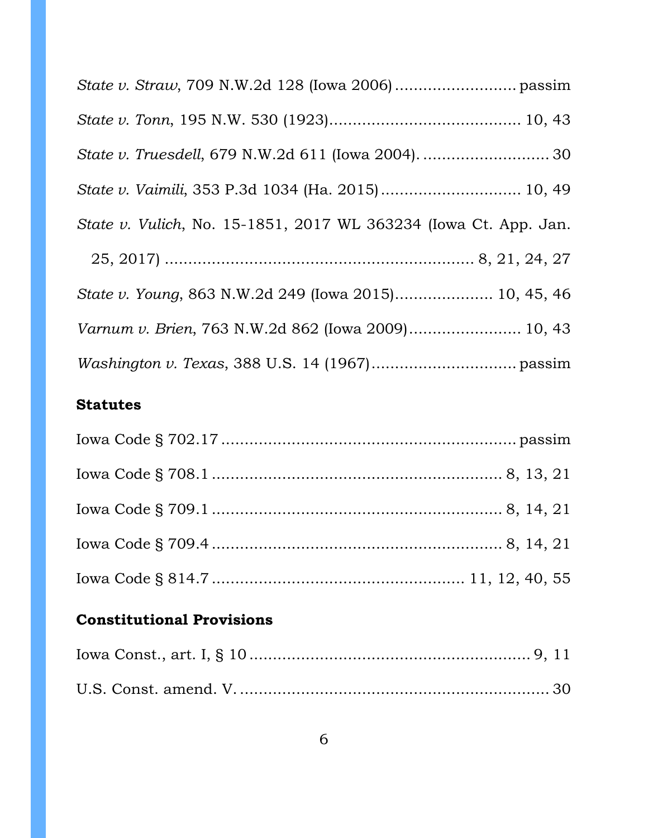| State v. Vulich, No. 15-1851, 2017 WL 363234 (Iowa Ct. App. Jan. |
|------------------------------------------------------------------|
|                                                                  |
| State v. Young, 863 N.W.2d 249 (Iowa 2015) 10, 45, 46            |
| Varnum v. Brien, 763 N.W.2d 862 (Iowa 2009) 10, 43               |
|                                                                  |

# **Statutes**

# **Constitutional Provisions**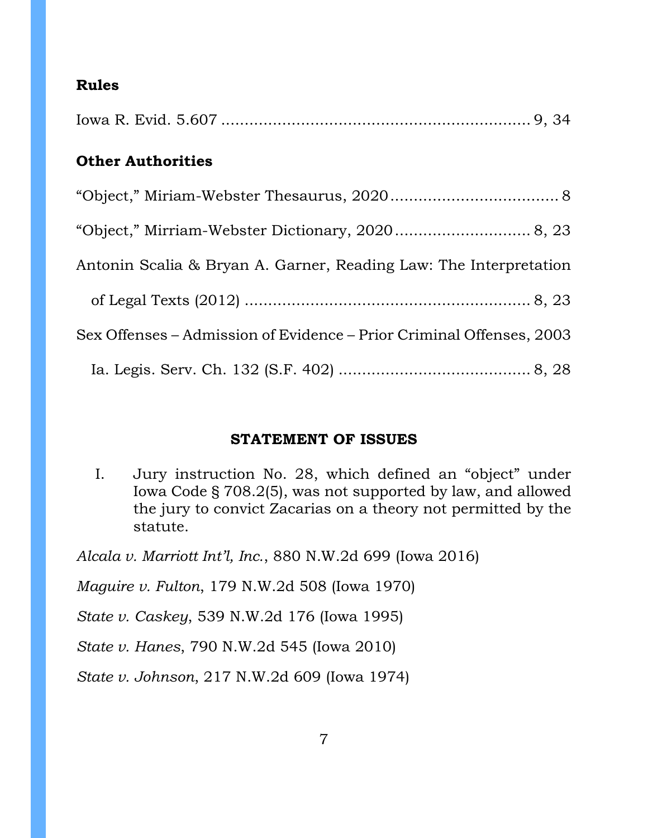## **Rules**

| <b>Other Authorities</b>                                             |
|----------------------------------------------------------------------|
|                                                                      |
|                                                                      |
| Antonin Scalia & Bryan A. Garner, Reading Law: The Interpretation    |
|                                                                      |
| Sex Offenses – Admission of Evidence – Prior Criminal Offenses, 2003 |
|                                                                      |
|                                                                      |

### **STATEMENT OF ISSUES**

<span id="page-6-0"></span>I. Jury instruction No. 28, which defined an "object" under Iowa Code § 708.2(5), was not supported by law, and allowed the jury to convict Zacarias on a theory not permitted by the statute.

*Alcala v. Marriott Int'l, Inc.*, 880 N.W.2d 699 (Iowa 2016) *Maguire v. Fulton*, 179 N.W.2d 508 (Iowa 1970) *State v. Caskey*, 539 N.W.2d 176 (Iowa 1995) *State v. Hanes*, 790 N.W.2d 545 (Iowa 2010) *State v. Johnson*, 217 N.W.2d 609 (Iowa 1974)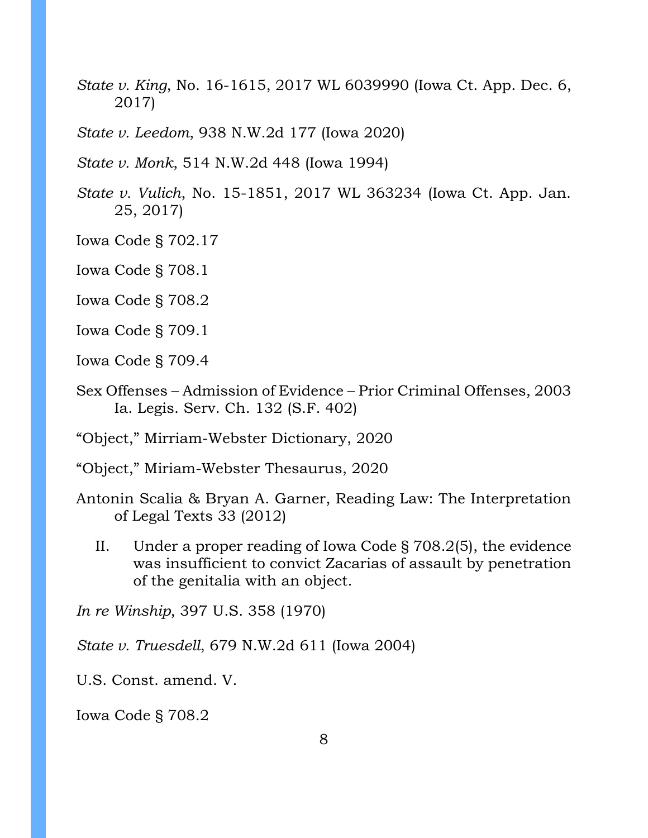*State v. King*, No. 16-1615, 2017 WL 6039990 (Iowa Ct. App. Dec. 6, 2017)

*State v. Leedom*, 938 N.W.2d 177 (Iowa 2020)

*State v. Monk*, 514 N.W.2d 448 (Iowa 1994)

*State v. Vulich*, No. 15-1851, 2017 WL 363234 (Iowa Ct. App. Jan. 25, 2017)

Iowa Code § 702.17

Iowa Code § 708.1

Iowa Code § 708.2

Iowa Code § 709.1

Iowa Code § 709.4

Sex Offenses – Admission of Evidence – Prior Criminal Offenses, 2003 Ia. Legis. Serv. Ch. 132 (S.F. 402)

"Object," Mirriam-Webster Dictionary, 2020

"Object," Miriam-Webster Thesaurus, 2020

Antonin Scalia & Bryan A. Garner, Reading Law: The Interpretation of Legal Texts 33 (2012)

II. Under a proper reading of Iowa Code § 708.2(5), the evidence was insufficient to convict Zacarias of assault by penetration of the genitalia with an object.

*In re Winship*, 397 U.S. 358 (1970)

*State v. Truesdell*, 679 N.W.2d 611 (Iowa 2004)

U.S. Const. amend. V.

Iowa Code § 708.2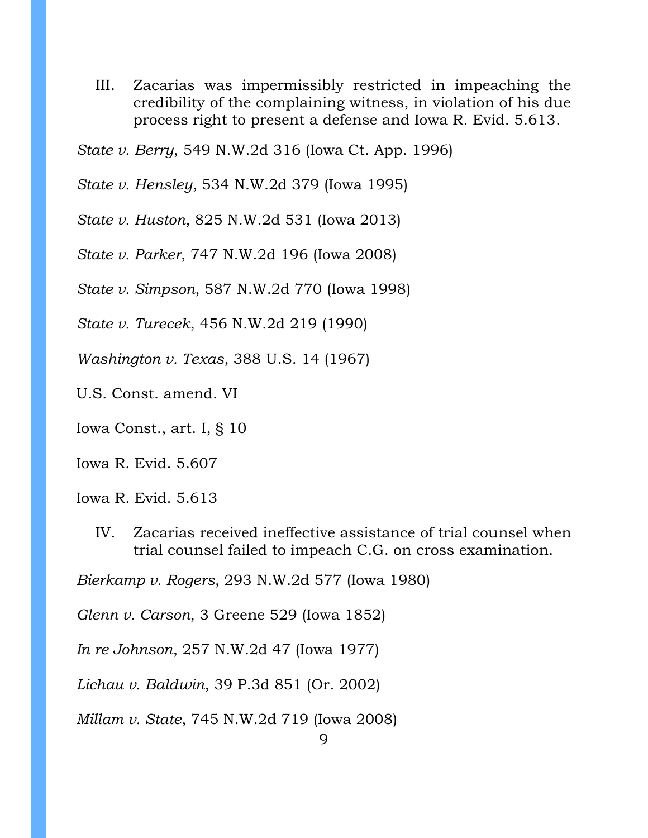III. Zacarias was impermissibly restricted in impeaching the credibility of the complaining witness, in violation of his due process right to present a defense and Iowa R. Evid. 5.613.

*State v. Berry*, 549 N.W.2d 316 (Iowa Ct. App. 1996)

*State v. Hensley*, 534 N.W.2d 379 (Iowa 1995)

*State v. Huston*, 825 N.W.2d 531 (Iowa 2013)

*State v. Parker*, 747 N.W.2d 196 (Iowa 2008)

*State v. Simpson*, 587 N.W.2d 770 (Iowa 1998)

*State v. Turecek*, 456 N.W.2d 219 (1990)

*Washington v. Texas*, 388 U.S. 14 (1967)

U.S. Const. amend. VI

Iowa Const., art. I, § 10

Iowa R. Evid. 5.607

Iowa R. Evid. 5.613

IV. Zacarias received ineffective assistance of trial counsel when trial counsel failed to impeach C.G. on cross examination.

*Bierkamp v. Rogers*, 293 N.W.2d 577 (Iowa 1980)

*Glenn v. Carson*, 3 Greene 529 (Iowa 1852)

*In re Johnson*, 257 N.W.2d 47 (Iowa 1977)

*Lichau v. Baldwin*, 39 P.3d 851 (Or. 2002)

*Millam v. State*, 745 N.W.2d 719 (Iowa 2008)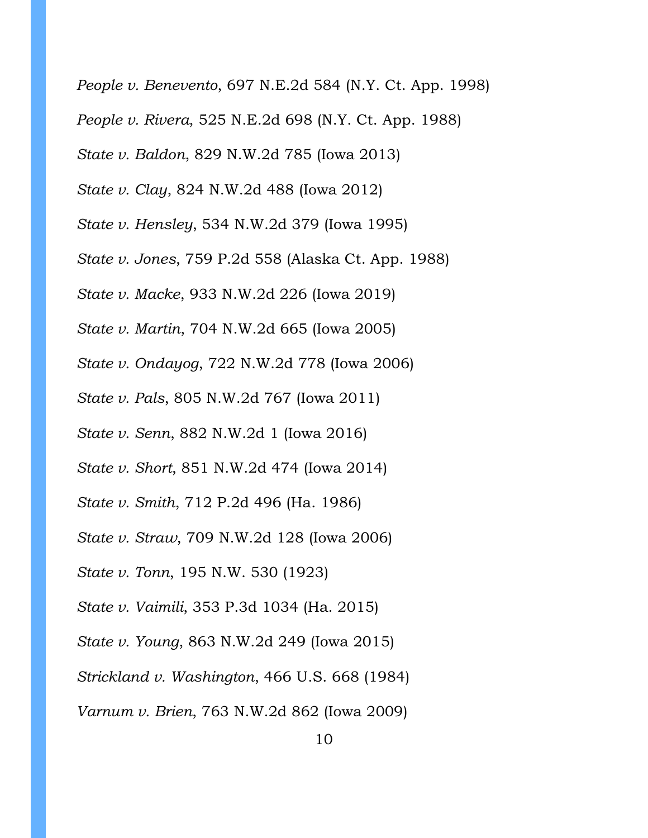10 *People v. Benevento*, 697 N.E.2d 584 (N.Y. Ct. App. 1998) *People v. Rivera*, 525 N.E.2d 698 (N.Y. Ct. App. 1988) *State v. Baldon*, 829 N.W.2d 785 (Iowa 2013) *State v. Clay*, 824 N.W.2d 488 (Iowa 2012) *State v. Hensley*, 534 N.W.2d 379 (Iowa 1995) *State v. Jones*, 759 P.2d 558 (Alaska Ct. App. 1988) *State v. Macke*, 933 N.W.2d 226 (Iowa 2019) *State v. Martin*, 704 N.W.2d 665 (Iowa 2005) *State v. Ondayog*, 722 N.W.2d 778 (Iowa 2006) *State v. Pals*, 805 N.W.2d 767 (Iowa 2011) *State v. Senn*, 882 N.W.2d 1 (Iowa 2016) *State v. Short*, 851 N.W.2d 474 (Iowa 2014) *State v. Smith*, 712 P.2d 496 (Ha. 1986) *State v. Straw*, 709 N.W.2d 128 (Iowa 2006) *State v. Tonn*, 195 N.W. 530 (1923) *State v. Vaimili*, 353 P.3d 1034 (Ha. 2015) *State v. Young*, 863 N.W.2d 249 (Iowa 2015) *Strickland v. Washington*, 466 U.S. 668 (1984) *Varnum v. Brien*, 763 N.W.2d 862 (Iowa 2009)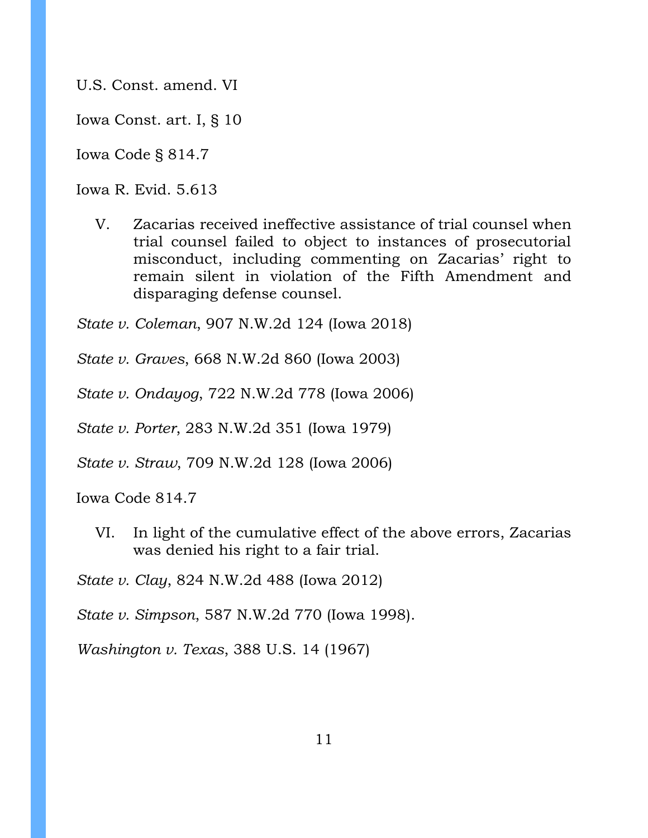U.S. Const. amend. VI

Iowa Const. art. I, § 10

Iowa Code § 814.7

Iowa R. Evid. 5.613

V. Zacarias received ineffective assistance of trial counsel when trial counsel failed to object to instances of prosecutorial misconduct, including commenting on Zacarias' right to remain silent in violation of the Fifth Amendment and disparaging defense counsel.

*State v. Coleman*, 907 N.W.2d 124 (Iowa 2018)

*State v. Graves*, 668 N.W.2d 860 (Iowa 2003)

*State v. Ondayog*, 722 N.W.2d 778 (Iowa 2006)

*State v. Porter*, 283 N.W.2d 351 (Iowa 1979)

*State v. Straw*, 709 N.W.2d 128 (Iowa 2006)

Iowa Code 814.7

VI. In light of the cumulative effect of the above errors, Zacarias was denied his right to a fair trial.

*State v. Clay*, 824 N.W.2d 488 (Iowa 2012)

*State v. Simpson*, 587 N.W.2d 770 (Iowa 1998).

*Washington v. Texas*, 388 U.S. 14 (1967)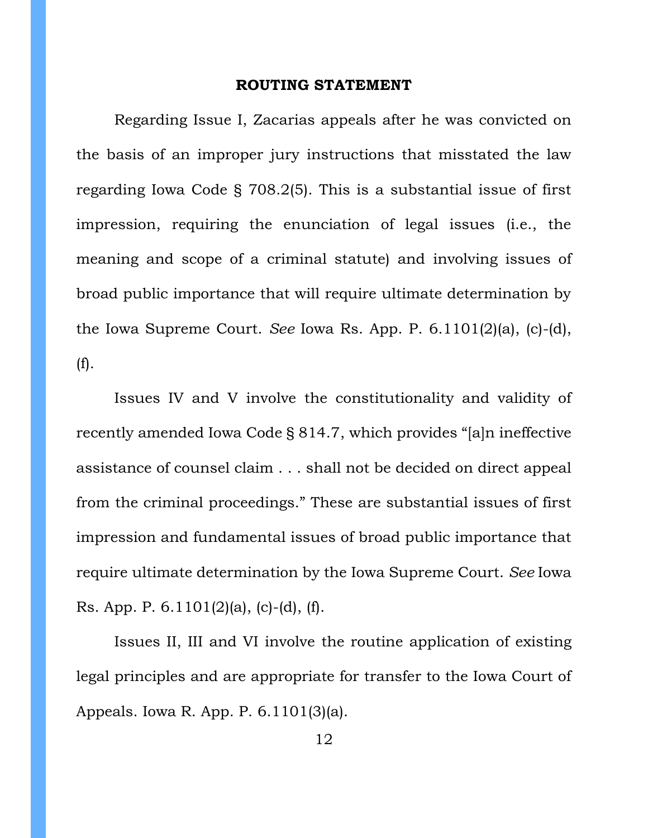#### **ROUTING STATEMENT**

<span id="page-11-0"></span>Regarding Issue I, Zacarias appeals after he was convicted on the basis of an improper jury instructions that misstated the law regarding Iowa Code § 708.2(5). This is a substantial issue of first impression, requiring the enunciation of legal issues (i.e., the meaning and scope of a criminal statute) and involving issues of broad public importance that will require ultimate determination by the Iowa Supreme Court. *See* Iowa Rs. App. P. 6.1101(2)(a), (c)-(d), (f).

Issues IV and V involve the constitutionality and validity of recently amended Iowa Code § 814.7, which provides "[a]n ineffective assistance of counsel claim . . . shall not be decided on direct appeal from the criminal proceedings." These are substantial issues of first impression and fundamental issues of broad public importance that require ultimate determination by the Iowa Supreme Court. *See* Iowa Rs. App. P. 6.1101(2)(a), (c)-(d), (f).

Issues II, III and VI involve the routine application of existing legal principles and are appropriate for transfer to the Iowa Court of Appeals. Iowa R. App. P. 6.1101(3)(a).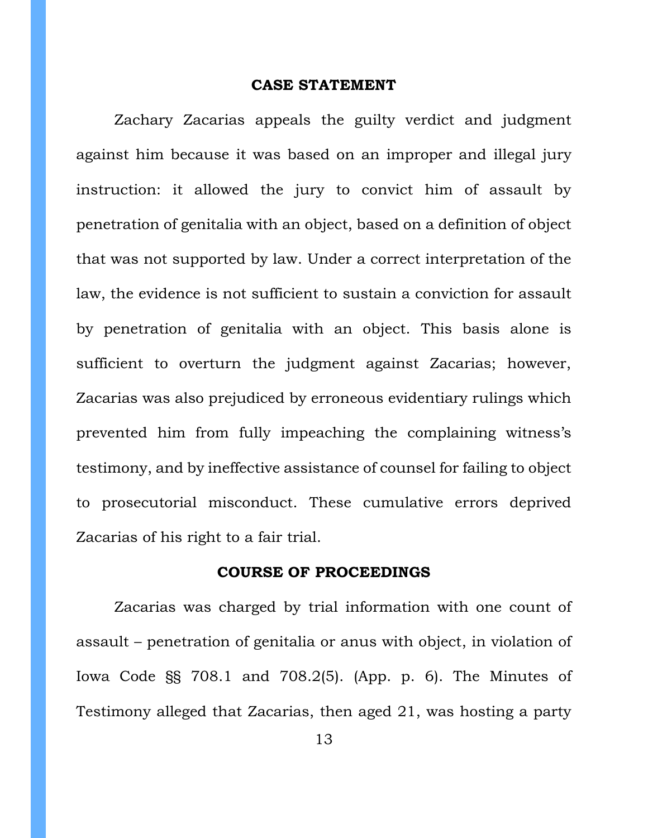#### **CASE STATEMENT**

Zachary Zacarias appeals the guilty verdict and judgment against him because it was based on an improper and illegal jury instruction: it allowed the jury to convict him of assault by penetration of genitalia with an object, based on a definition of object that was not supported by law. Under a correct interpretation of the law, the evidence is not sufficient to sustain a conviction for assault by penetration of genitalia with an object. This basis alone is sufficient to overturn the judgment against Zacarias; however, Zacarias was also prejudiced by erroneous evidentiary rulings which prevented him from fully impeaching the complaining witness's testimony, and by ineffective assistance of counsel for failing to object to prosecutorial misconduct. These cumulative errors deprived Zacarias of his right to a fair trial.

### **COURSE OF PROCEEDINGS**

<span id="page-12-0"></span>Zacarias was charged by trial information with one count of assault – penetration of genitalia or anus with object, in violation of Iowa Code §§ 708.1 and 708.2(5). (App. p. 6). The Minutes of Testimony alleged that Zacarias, then aged 21, was hosting a party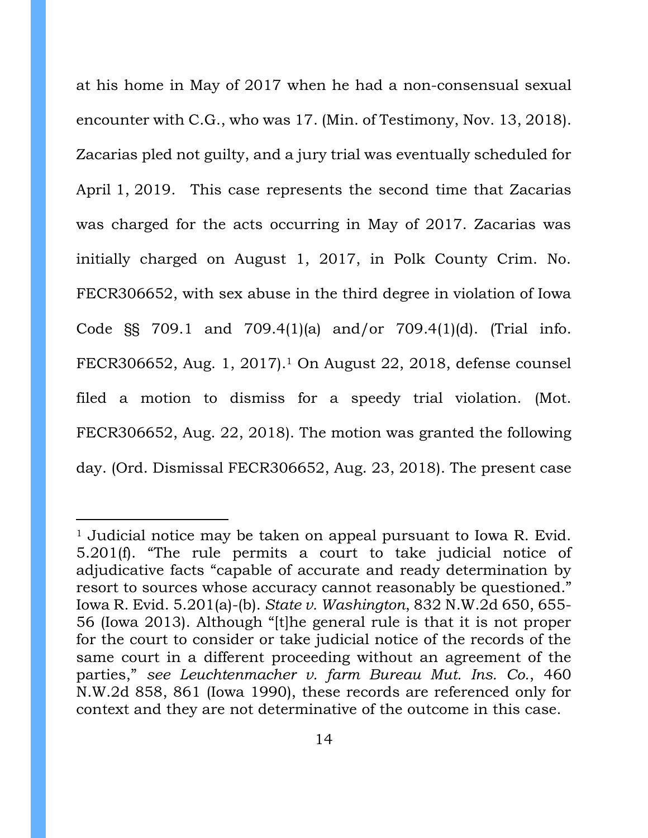at his home in May of 2017 when he had a non-consensual sexual encounter with C.G., who was 17. (Min. of Testimony, Nov. 13, 2018). Zacarias pled not guilty, and a jury trial was eventually scheduled for April 1, 2019. This case represents the second time that Zacarias was charged for the acts occurring in May of 2017. Zacarias was initially charged on August 1, 2017, in Polk County Crim. No. FECR306652, with sex abuse in the third degree in violation of Iowa Code §§ 709.1 and 709.4(1)(a) and/or 709.4(1)(d). (Trial info. FECR306652, Aug. 1, 2017). <sup>1</sup> On August 22, 2018, defense counsel filed a motion to dismiss for a speedy trial violation. (Mot. FECR306652, Aug. 22, 2018). The motion was granted the following day. (Ord. Dismissal FECR306652, Aug. 23, 2018). The present case

<sup>1</sup> Judicial notice may be taken on appeal pursuant to Iowa R. Evid. 5.201(f). "The rule permits a court to take judicial notice of adjudicative facts "capable of accurate and ready determination by resort to sources whose accuracy cannot reasonably be questioned." Iowa R. Evid. 5.201(a)-(b). *State v. Washington*, 832 N.W.2d 650, 655- 56 (Iowa 2013). Although "[t]he general rule is that it is not proper for the court to consider or take judicial notice of the records of the same court in a different proceeding without an agreement of the parties," *see Leuchtenmacher v. farm Bureau Mut. Ins. Co.*, 460 N.W.2d 858, 861 (Iowa 1990), these records are referenced only for context and they are not determinative of the outcome in this case.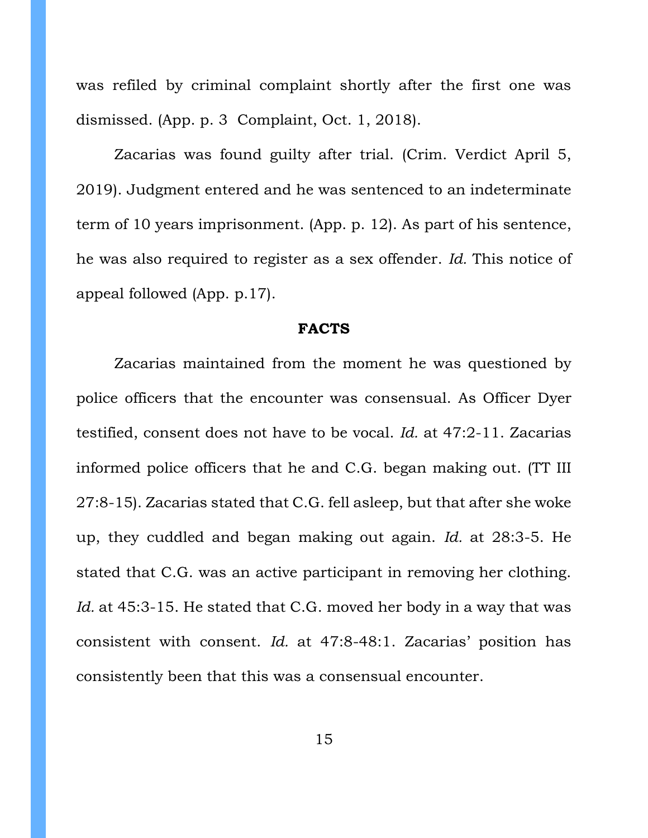was refiled by criminal complaint shortly after the first one was dismissed. (App. p. 3 Complaint, Oct. 1, 2018).

Zacarias was found guilty after trial. (Crim. Verdict April 5, 2019). Judgment entered and he was sentenced to an indeterminate term of 10 years imprisonment. (App. p. 12). As part of his sentence, he was also required to register as a sex offender. *Id.* This notice of appeal followed (App. p.17).

#### **FACTS**

<span id="page-14-0"></span>Zacarias maintained from the moment he was questioned by police officers that the encounter was consensual. As Officer Dyer testified, consent does not have to be vocal. *Id.* at 47:2-11. Zacarias informed police officers that he and C.G. began making out. (TT III 27:8-15). Zacarias stated that C.G. fell asleep, but that after she woke up, they cuddled and began making out again. *Id.* at 28:3-5. He stated that C.G. was an active participant in removing her clothing. Id. at 45:3-15. He stated that C.G. moved her body in a way that was consistent with consent. *Id.* at 47:8-48:1. Zacarias' position has consistently been that this was a consensual encounter.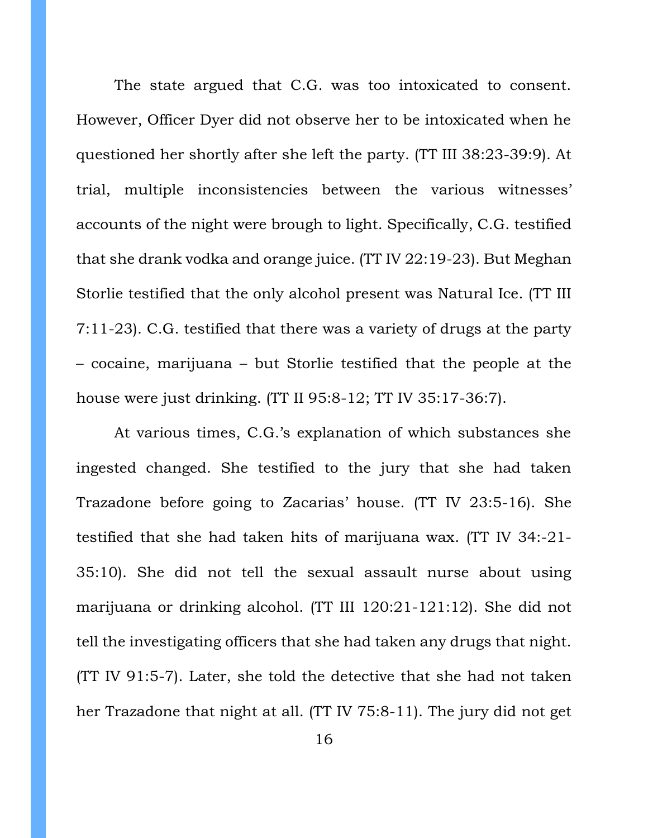The state argued that C.G. was too intoxicated to consent. However, Officer Dyer did not observe her to be intoxicated when he questioned her shortly after she left the party. (TT III 38:23-39:9). At trial, multiple inconsistencies between the various witnesses' accounts of the night were brough to light. Specifically, C.G. testified that she drank vodka and orange juice. (TT IV 22:19-23). But Meghan Storlie testified that the only alcohol present was Natural Ice. (TT III 7:11-23). C.G. testified that there was a variety of drugs at the party – cocaine, marijuana – but Storlie testified that the people at the house were just drinking. (TT II 95:8-12; TT IV 35:17-36:7).

At various times, C.G.'s explanation of which substances she ingested changed. She testified to the jury that she had taken Trazadone before going to Zacarias' house. (TT IV 23:5-16). She testified that she had taken hits of marijuana wax. (TT IV 34:-21- 35:10). She did not tell the sexual assault nurse about using marijuana or drinking alcohol. (TT III 120:21-121:12). She did not tell the investigating officers that she had taken any drugs that night. (TT IV 91:5-7). Later, she told the detective that she had not taken her Trazadone that night at all. (TT IV 75:8-11). The jury did not get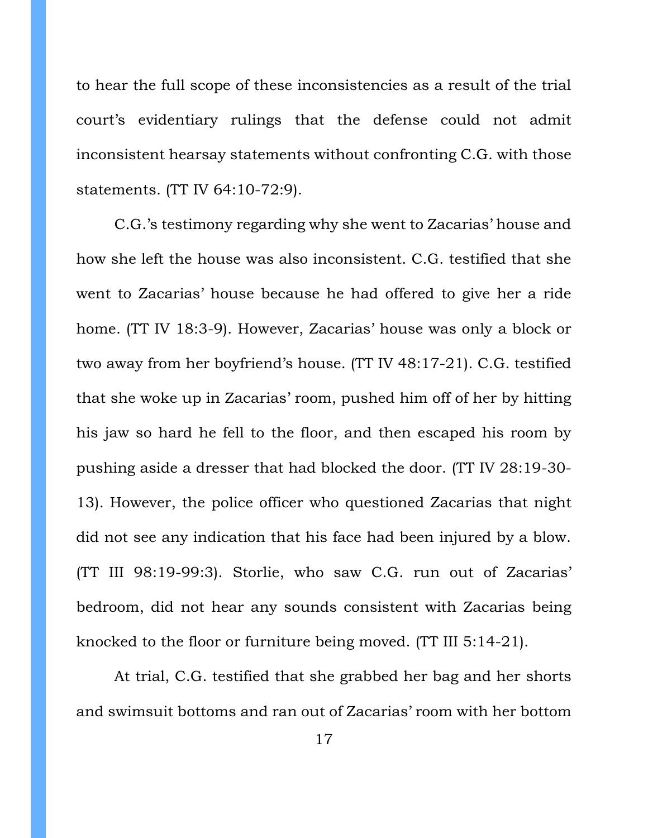to hear the full scope of these inconsistencies as a result of the trial court's evidentiary rulings that the defense could not admit inconsistent hearsay statements without confronting C.G. with those statements. (TT IV 64:10-72:9).

C.G.'s testimony regarding why she went to Zacarias' house and how she left the house was also inconsistent. C.G. testified that she went to Zacarias' house because he had offered to give her a ride home. (TT IV 18:3-9). However, Zacarias' house was only a block or two away from her boyfriend's house. (TT IV 48:17-21). C.G. testified that she woke up in Zacarias' room, pushed him off of her by hitting his jaw so hard he fell to the floor, and then escaped his room by pushing aside a dresser that had blocked the door. (TT IV 28:19-30- 13). However, the police officer who questioned Zacarias that night did not see any indication that his face had been injured by a blow. (TT III 98:19-99:3). Storlie, who saw C.G. run out of Zacarias' bedroom, did not hear any sounds consistent with Zacarias being knocked to the floor or furniture being moved. (TT III 5:14-21).

At trial, C.G. testified that she grabbed her bag and her shorts and swimsuit bottoms and ran out of Zacarias' room with her bottom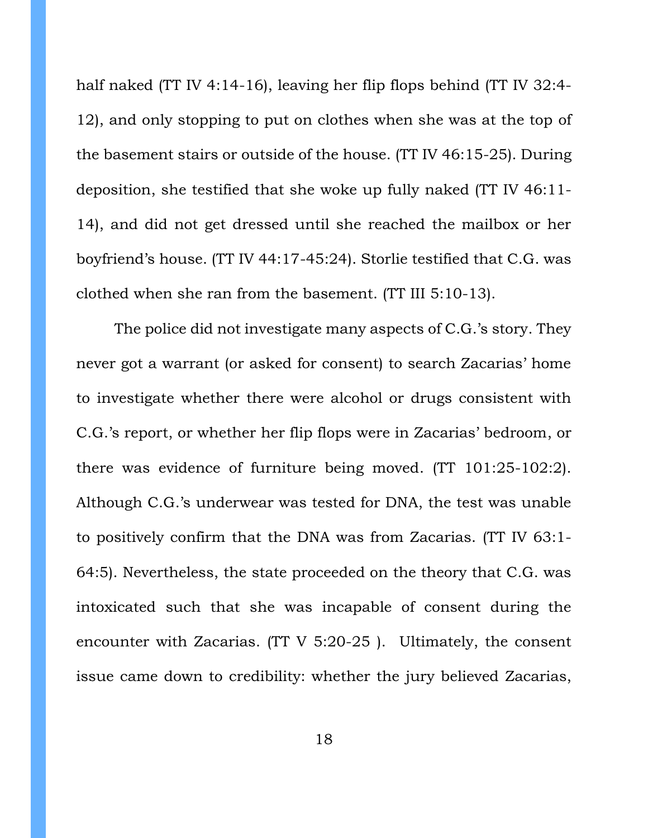half naked (TT IV 4:14-16), leaving her flip flops behind (TT IV 32:4- 12), and only stopping to put on clothes when she was at the top of the basement stairs or outside of the house. (TT IV 46:15-25). During deposition, she testified that she woke up fully naked (TT IV 46:11- 14), and did not get dressed until she reached the mailbox or her boyfriend's house. (TT IV 44:17-45:24). Storlie testified that C.G. was clothed when she ran from the basement. (TT III 5:10-13).

The police did not investigate many aspects of C.G.'s story. They never got a warrant (or asked for consent) to search Zacarias' home to investigate whether there were alcohol or drugs consistent with C.G.'s report, or whether her flip flops were in Zacarias' bedroom, or there was evidence of furniture being moved. (TT 101:25-102:2). Although C.G.'s underwear was tested for DNA, the test was unable to positively confirm that the DNA was from Zacarias. (TT IV 63:1- 64:5). Nevertheless, the state proceeded on the theory that C.G. was intoxicated such that she was incapable of consent during the encounter with Zacarias. (TT V 5:20-25 ). Ultimately, the consent issue came down to credibility: whether the jury believed Zacarias,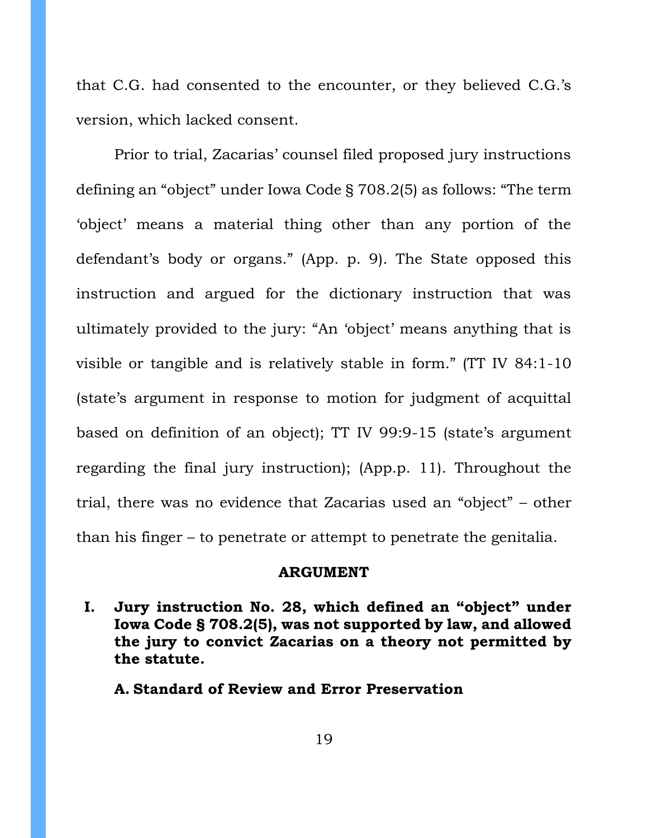that C.G. had consented to the encounter, or they believed C.G.'s version, which lacked consent.

Prior to trial, Zacarias' counsel filed proposed jury instructions defining an "object" under Iowa Code § 708.2(5) as follows: "The term 'object' means a material thing other than any portion of the defendant's body or organs." (App. p. 9). The State opposed this instruction and argued for the dictionary instruction that was ultimately provided to the jury: "An 'object' means anything that is visible or tangible and is relatively stable in form." (TT IV 84:1-10 (state's argument in response to motion for judgment of acquittal based on definition of an object); TT IV 99:9-15 (state's argument regarding the final jury instruction); (App.p. 11). Throughout the trial, there was no evidence that Zacarias used an "object" – other than his finger – to penetrate or attempt to penetrate the genitalia.

#### **ARGUMENT**

<span id="page-18-1"></span><span id="page-18-0"></span>**I. Jury instruction No. 28, which defined an "object" under Iowa Code § 708.2(5), was not supported by law, and allowed the jury to convict Zacarias on a theory not permitted by the statute.** 

<span id="page-18-2"></span>**A. Standard of Review and Error Preservation**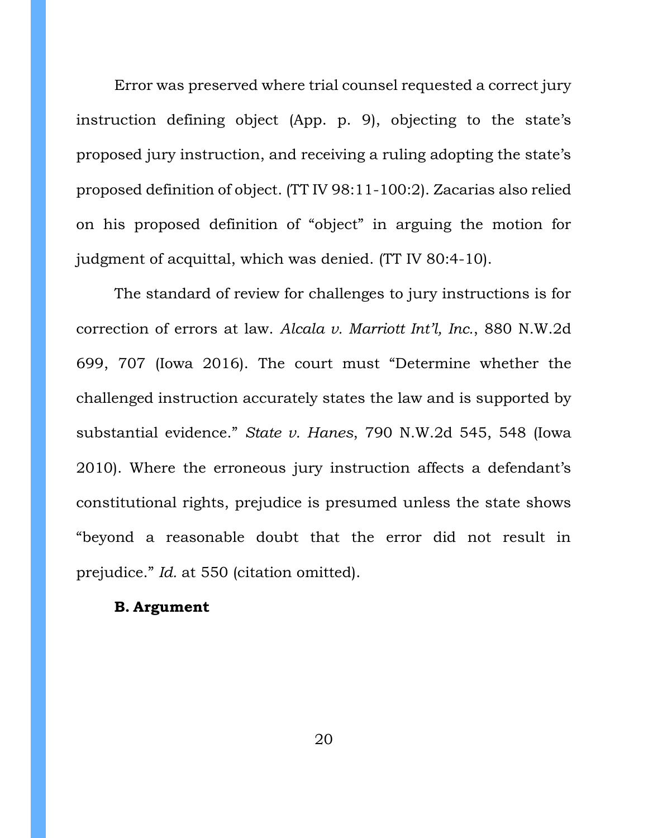Error was preserved where trial counsel requested a correct jury instruction defining object (App. p. 9), objecting to the state's proposed jury instruction, and receiving a ruling adopting the state's proposed definition of object. (TT IV 98:11-100:2). Zacarias also relied on his proposed definition of "object" in arguing the motion for judgment of acquittal, which was denied. (TT IV 80:4-10).

The standard of review for challenges to jury instructions is for correction of errors at law. *Alcala v. Marriott Int'l, Inc.*, 880 N.W.2d 699, 707 (Iowa 2016). The court must "Determine whether the challenged instruction accurately states the law and is supported by substantial evidence." *State v. Hanes*, 790 N.W.2d 545, 548 (Iowa 2010). Where the erroneous jury instruction affects a defendant's constitutional rights, prejudice is presumed unless the state shows "beyond a reasonable doubt that the error did not result in prejudice." *Id.* at 550 (citation omitted).

### <span id="page-19-0"></span>**B. Argument**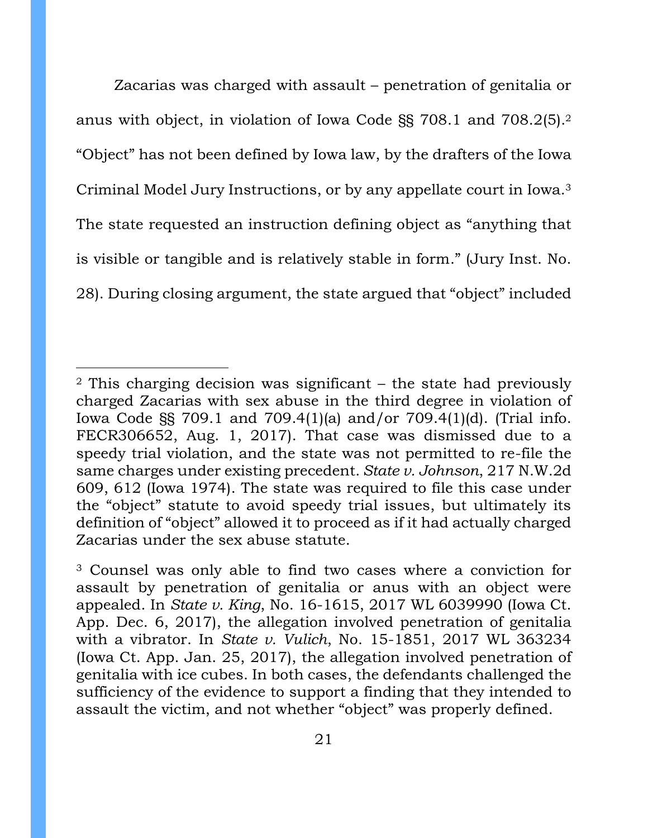Zacarias was charged with assault – penetration of genitalia or anus with object, in violation of Iowa Code §§ 708.1 and 708.2(5).<sup>2</sup> "Object" has not been defined by Iowa law, by the drafters of the Iowa Criminal Model Jury Instructions, or by any appellate court in Iowa.<sup>3</sup> The state requested an instruction defining object as "anything that is visible or tangible and is relatively stable in form." (Jury Inst. No. 28). During closing argument, the state argued that "object" included

<sup>2</sup> This charging decision was significant – the state had previously charged Zacarias with sex abuse in the third degree in violation of Iowa Code §§ 709.1 and 709.4(1)(a) and/or 709.4(1)(d). (Trial info. FECR306652, Aug. 1, 2017). That case was dismissed due to a speedy trial violation, and the state was not permitted to re-file the same charges under existing precedent. *State v. Johnson*, 217 N.W.2d 609, 612 (Iowa 1974). The state was required to file this case under the "object" statute to avoid speedy trial issues, but ultimately its definition of "object" allowed it to proceed as if it had actually charged Zacarias under the sex abuse statute.

<sup>3</sup> Counsel was only able to find two cases where a conviction for assault by penetration of genitalia or anus with an object were appealed. In *State v. King*, No. 16-1615, 2017 WL 6039990 (Iowa Ct. App. Dec. 6, 2017), the allegation involved penetration of genitalia with a vibrator. In *State v. Vulich*, No. 15-1851, 2017 WL 363234 (Iowa Ct. App. Jan. 25, 2017), the allegation involved penetration of genitalia with ice cubes. In both cases, the defendants challenged the sufficiency of the evidence to support a finding that they intended to assault the victim, and not whether "object" was properly defined.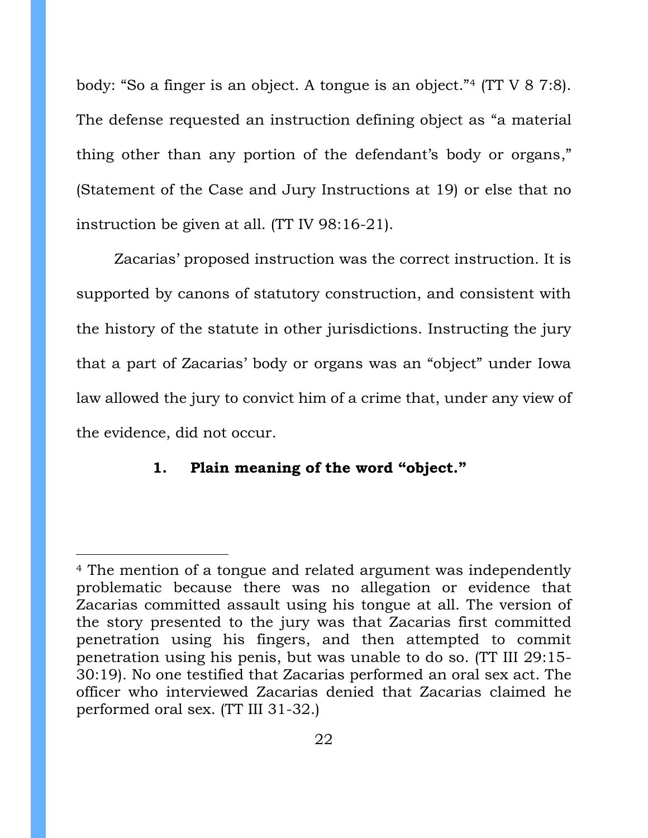body: "So a finger is an object. A tongue is an object."<sup>4</sup> (TT V 8 7:8). The defense requested an instruction defining object as "a material thing other than any portion of the defendant's body or organs," (Statement of the Case and Jury Instructions at 19) or else that no instruction be given at all. (TT IV 98:16-21).

Zacarias' proposed instruction was the correct instruction. It is supported by canons of statutory construction, and consistent with the history of the statute in other jurisdictions. Instructing the jury that a part of Zacarias' body or organs was an "object" under Iowa law allowed the jury to convict him of a crime that, under any view of the evidence, did not occur.

### <span id="page-21-0"></span>**1. Plain meaning of the word "object."**

<sup>4</sup> The mention of a tongue and related argument was independently problematic because there was no allegation or evidence that Zacarias committed assault using his tongue at all. The version of the story presented to the jury was that Zacarias first committed penetration using his fingers, and then attempted to commit penetration using his penis, but was unable to do so. (TT III 29:15- 30:19). No one testified that Zacarias performed an oral sex act. The officer who interviewed Zacarias denied that Zacarias claimed he performed oral sex. (TT III 31-32.)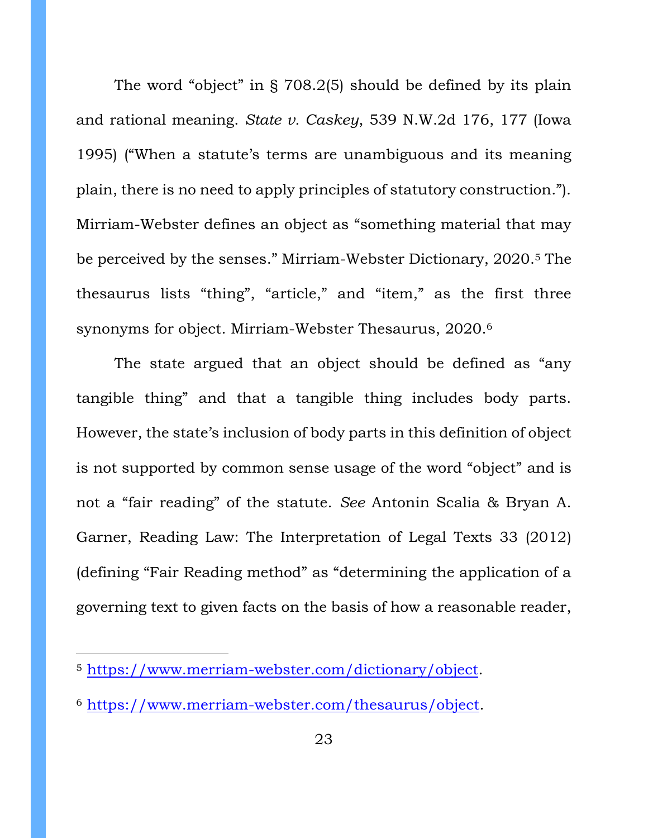The word "object" in § 708.2(5) should be defined by its plain and rational meaning. *State v. Caskey*, 539 N.W.2d 176, 177 (Iowa 1995) ("When a statute's terms are unambiguous and its meaning plain, there is no need to apply principles of statutory construction."). Mirriam-Webster defines an object as "something material that may be perceived by the senses." Mirriam-Webster Dictionary, 2020. <sup>5</sup> The thesaurus lists "thing", "article," and "item," as the first three synonyms for object. Mirriam-Webster Thesaurus, 2020.<sup>6</sup>

The state argued that an object should be defined as "any tangible thing" and that a tangible thing includes body parts. However, the state's inclusion of body parts in this definition of object is not supported by common sense usage of the word "object" and is not a "fair reading" of the statute. *See* Antonin Scalia & Bryan A. Garner, Reading Law: The Interpretation of Legal Texts 33 (2012) (defining "Fair Reading method" as "determining the application of a governing text to given facts on the basis of how a reasonable reader,

<sup>5</sup> [https://www.merriam-webster.com/dictionary/object.](https://www.merriam-webster.com/dictionary/object)

<sup>6</sup> [https://www.merriam-webster.com/thesaurus/object.](https://www.merriam-webster.com/thesaurus/object)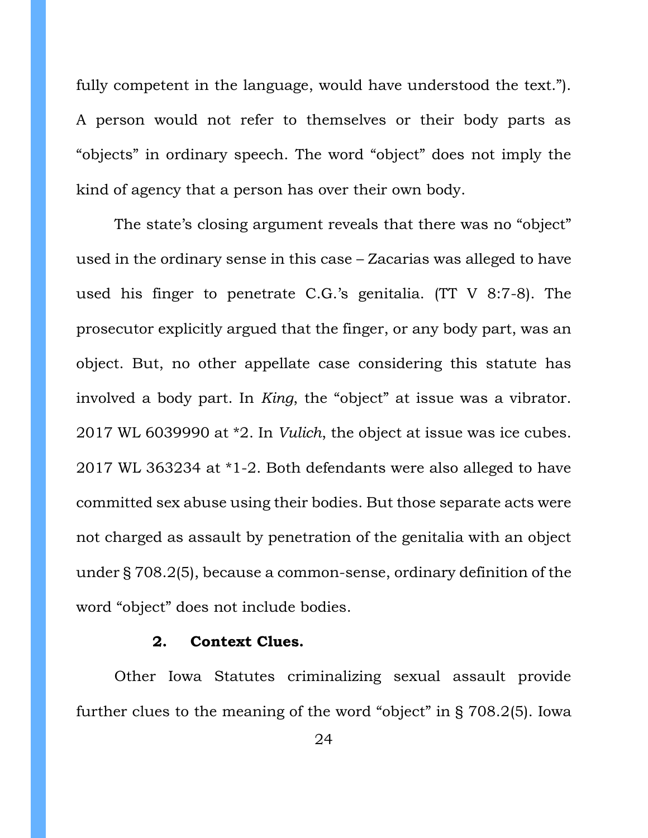fully competent in the language, would have understood the text."). A person would not refer to themselves or their body parts as "objects" in ordinary speech. The word "object" does not imply the kind of agency that a person has over their own body.

The state's closing argument reveals that there was no "object" used in the ordinary sense in this case – Zacarias was alleged to have used his finger to penetrate C.G.'s genitalia. (TT V 8:7-8). The prosecutor explicitly argued that the finger, or any body part, was an object. But, no other appellate case considering this statute has involved a body part. In *King*, the "object" at issue was a vibrator. 2017 WL 6039990 at \*2. In *Vulich*, the object at issue was ice cubes. 2017 WL 363234 at \*1-2. Both defendants were also alleged to have committed sex abuse using their bodies. But those separate acts were not charged as assault by penetration of the genitalia with an object under § 708.2(5), because a common-sense, ordinary definition of the word "object" does not include bodies.

### **2. Context Clues.**

<span id="page-23-0"></span>Other Iowa Statutes criminalizing sexual assault provide further clues to the meaning of the word "object" in § 708.2(5). Iowa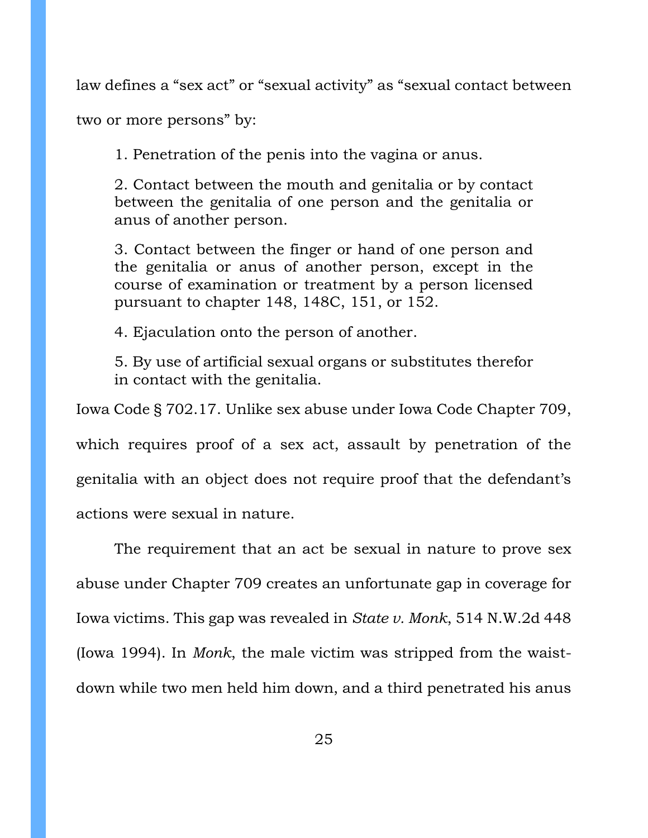law defines a "sex act" or "sexual activity" as "sexual contact between

two or more persons" by:

1. Penetration of the penis into the vagina or anus.

2. Contact between the mouth and genitalia or by contact between the genitalia of one person and the genitalia or anus of another person.

3. Contact between the finger or hand of one person and the genitalia or anus of another person, except in the course of examination or treatment by a person licensed pursuant to chapter 148, 148C, 151, or 152.

4. Ejaculation onto the person of another.

5. By use of artificial sexual organs or substitutes therefor in contact with the genitalia.

Iowa Code § 702.17. Unlike sex abuse under Iowa Code Chapter 709, which requires proof of a sex act, assault by penetration of the genitalia with an object does not require proof that the defendant's actions were sexual in nature.

The requirement that an act be sexual in nature to prove sex abuse under Chapter 709 creates an unfortunate gap in coverage for Iowa victims. This gap was revealed in *State v. Monk*, 514 N.W.2d 448 (Iowa 1994). In *Monk*, the male victim was stripped from the waistdown while two men held him down, and a third penetrated his anus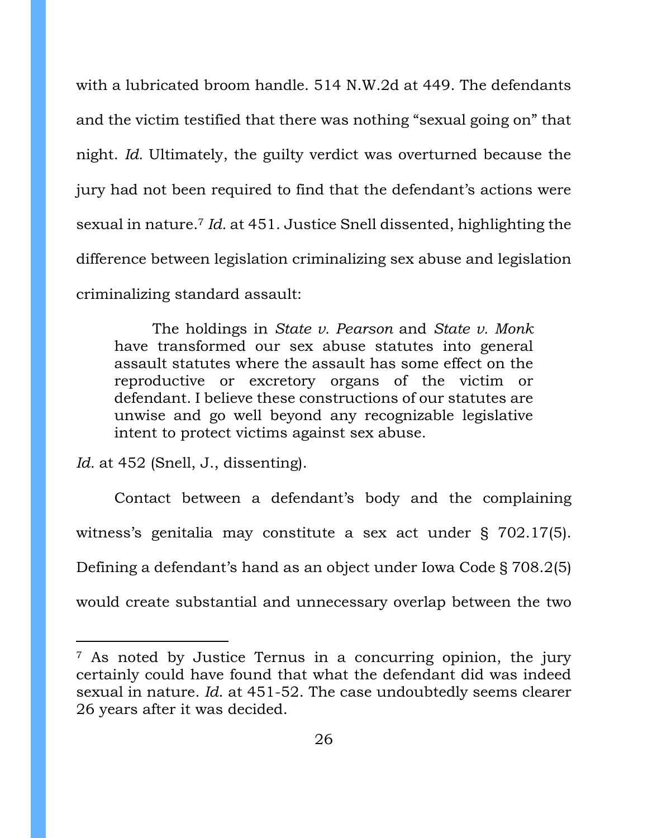with a lubricated broom handle. 514 N.W.2d at 449. The defendants and the victim testified that there was nothing "sexual going on" that night. *Id.* Ultimately, the guilty verdict was overturned because the jury had not been required to find that the defendant's actions were sexual in nature.<sup>7</sup> *Id.* at 451. Justice Snell dissented, highlighting the difference between legislation criminalizing sex abuse and legislation criminalizing standard assault:

The holdings in *State v. Pearson* and *State v. Monk* have transformed our sex abuse statutes into general assault statutes where the assault has some effect on the reproductive or excretory organs of the victim or defendant. I believe these constructions of our statutes are unwise and go well beyond any recognizable legislative intent to protect victims against sex abuse.

*Id.* at 452 (Snell, J., dissenting).

Contact between a defendant's body and the complaining witness's genitalia may constitute a sex act under § 702.17(5). Defining a defendant's hand as an object under Iowa Code § 708.2(5) would create substantial and unnecessary overlap between the two

<sup>7</sup> As noted by Justice Ternus in a concurring opinion, the jury certainly could have found that what the defendant did was indeed sexual in nature. *Id*. at 451-52. The case undoubtedly seems clearer 26 years after it was decided.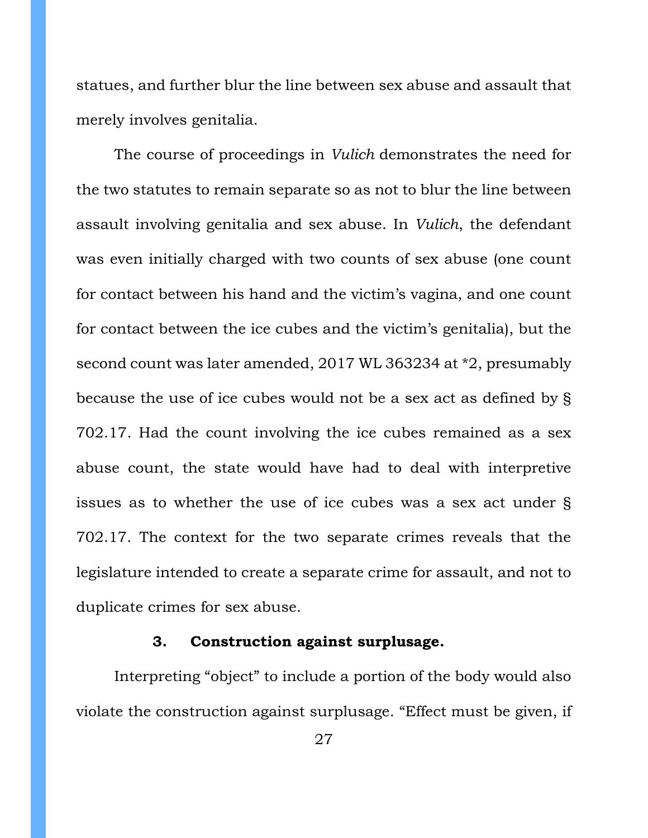statues, and further blur the line between sex abuse and assault that merely involves genitalia.

The course of proceedings in *Vulich* demonstrates the need for the two statutes to remain separate so as not to blur the line between assault involving genitalia and sex abuse. In *Vulich*, the defendant was even initially charged with two counts of sex abuse (one count for contact between his hand and the victim's vagina, and one count for contact between the ice cubes and the victim's genitalia), but the second count was later amended, 2017 WL 363234 at \*2, presumably because the use of ice cubes would not be a sex act as defined by § 702.17. Had the count involving the ice cubes remained as a sex abuse count, the state would have had to deal with interpretive issues as to whether the use of ice cubes was a sex act under § 702.17. The context for the two separate crimes reveals that the legislature intended to create a separate crime for assault, and not to duplicate crimes for sex abuse.

### **3. Construction against surplusage.**

<span id="page-26-0"></span>Interpreting "object" to include a portion of the body would also violate the construction against surplusage. "Effect must be given, if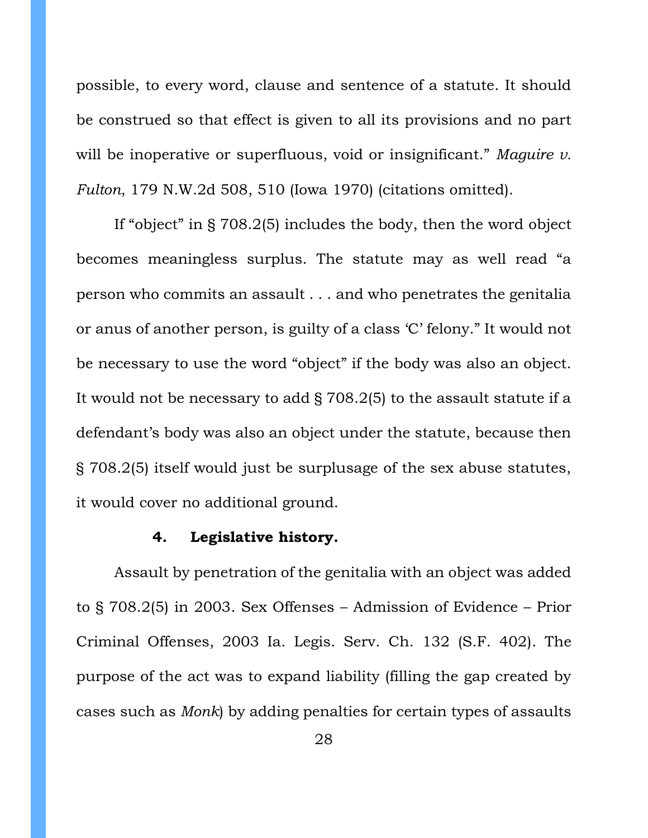possible, to every word, clause and sentence of a statute. It should be construed so that effect is given to all its provisions and no part will be inoperative or superfluous, void or insignificant." *Maguire v. Fulton*, 179 N.W.2d 508, 510 (Iowa 1970) (citations omitted).

If "object" in § 708.2(5) includes the body, then the word object becomes meaningless surplus. The statute may as well read "a person who commits an assault . . . and who penetrates the genitalia or anus of another person, is guilty of a class 'C' felony." It would not be necessary to use the word "object" if the body was also an object. It would not be necessary to add § 708.2(5) to the assault statute if a defendant's body was also an object under the statute, because then § 708.2(5) itself would just be surplusage of the sex abuse statutes, it would cover no additional ground.

### **4. Legislative history.**

<span id="page-27-0"></span>Assault by penetration of the genitalia with an object was added to § 708.2(5) in 2003. Sex Offenses – Admission of Evidence – Prior Criminal Offenses, 2003 Ia. Legis. Serv. Ch. 132 (S.F. 402). The purpose of the act was to expand liability (filling the gap created by cases such as *Monk*) by adding penalties for certain types of assaults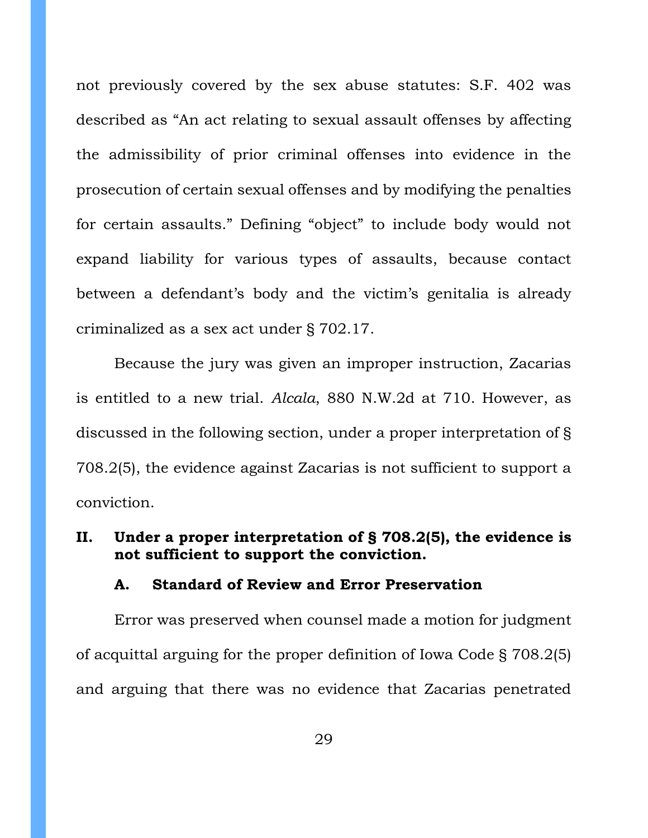not previously covered by the sex abuse statutes: S.F. 402 was described as "An act relating to sexual assault offenses by affecting the admissibility of prior criminal offenses into evidence in the prosecution of certain sexual offenses and by modifying the penalties for certain assaults." Defining "object" to include body would not expand liability for various types of assaults, because contact between a defendant's body and the victim's genitalia is already criminalized as a sex act under § 702.17.

Because the jury was given an improper instruction, Zacarias is entitled to a new trial. *Alcala*, 880 N.W.2d at 710. However, as discussed in the following section, under a proper interpretation of § 708.2(5), the evidence against Zacarias is not sufficient to support a conviction.

## <span id="page-28-0"></span>**II. Under a proper interpretation of § 708.2(5), the evidence is not sufficient to support the conviction.**

### <span id="page-28-1"></span>**A. Standard of Review and Error Preservation**

Error was preserved when counsel made a motion for judgment of acquittal arguing for the proper definition of Iowa Code § 708.2(5) and arguing that there was no evidence that Zacarias penetrated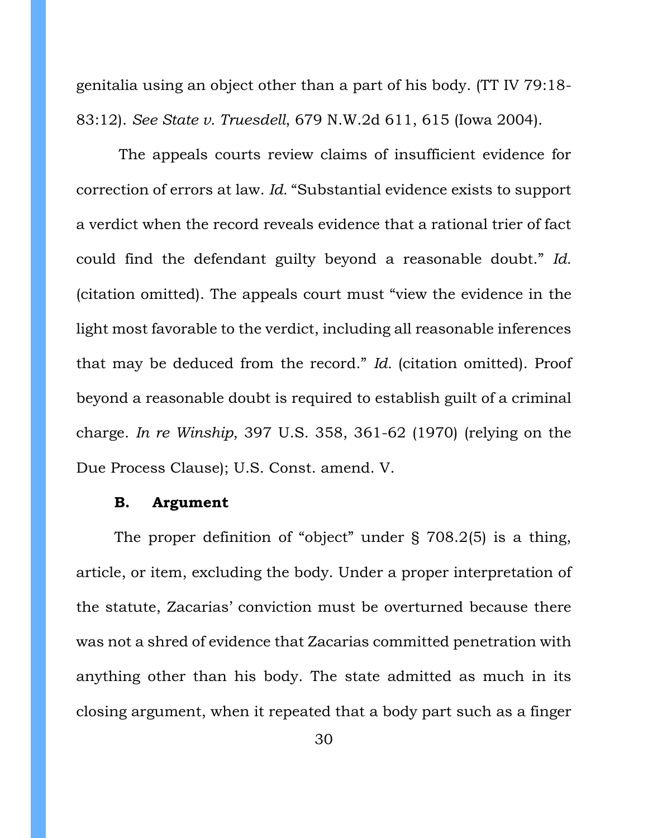genitalia using an object other than a part of his body. (TT IV 79:18- 83:12). *See State v. Truesdell*, 679 N.W.2d 611, 615 (Iowa 2004).

The appeals courts review claims of insufficient evidence for correction of errors at law. *Id.* "Substantial evidence exists to support a verdict when the record reveals evidence that a rational trier of fact could find the defendant guilty beyond a reasonable doubt." *Id.*  (citation omitted). The appeals court must "view the evidence in the light most favorable to the verdict, including all reasonable inferences that may be deduced from the record." *Id.* (citation omitted). Proof beyond a reasonable doubt is required to establish guilt of a criminal charge. *In re Winship*, 397 U.S. 358, 361-62 (1970) (relying on the Due Process Clause); U.S. Const. amend. V.

### <span id="page-29-0"></span>**B. Argument**

The proper definition of "object" under § 708.2(5) is a thing, article, or item, excluding the body. Under a proper interpretation of the statute, Zacarias' conviction must be overturned because there was not a shred of evidence that Zacarias committed penetration with anything other than his body. The state admitted as much in its closing argument, when it repeated that a body part such as a finger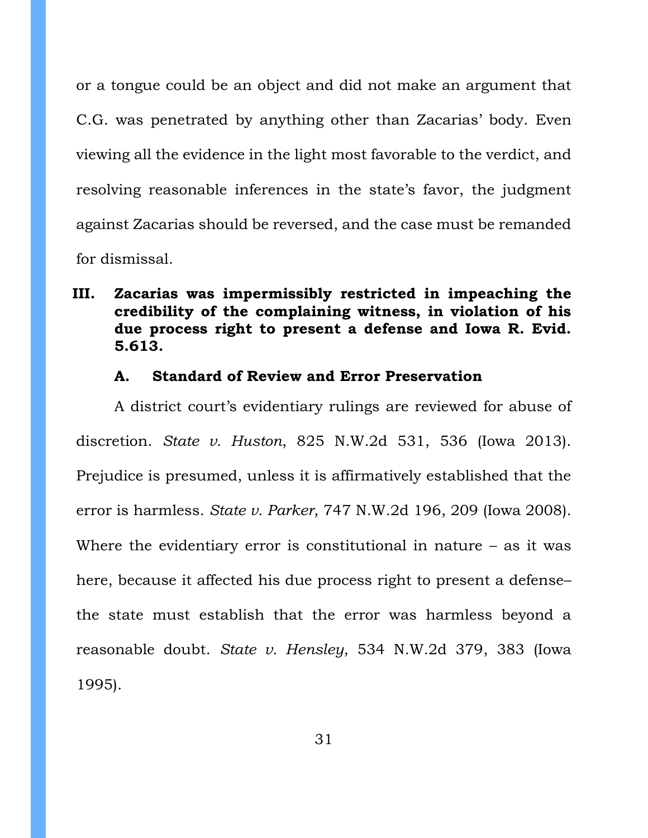or a tongue could be an object and did not make an argument that C.G. was penetrated by anything other than Zacarias' body. Even viewing all the evidence in the light most favorable to the verdict, and resolving reasonable inferences in the state's favor, the judgment against Zacarias should be reversed, and the case must be remanded for dismissal.

# <span id="page-30-0"></span>**III. Zacarias was impermissibly restricted in impeaching the credibility of the complaining witness, in violation of his due process right to present a defense and Iowa R. Evid. 5.613.**

#### **A. Standard of Review and Error Preservation**

<span id="page-30-1"></span>A district court's evidentiary rulings are reviewed for abuse of discretion. *State v. Huston*, 825 N.W.2d 531, 536 (Iowa 2013). Prejudice is presumed, unless it is affirmatively established that the error is harmless. *State v. Parker*, 747 N.W.2d 196, 209 (Iowa 2008). Where the evidentiary error is constitutional in nature – as it was here, because it affected his due process right to present a defensethe state must establish that the error was harmless beyond a reasonable doubt. *State v. Hensley*, 534 N.W.2d 379, 383 (Iowa 1995).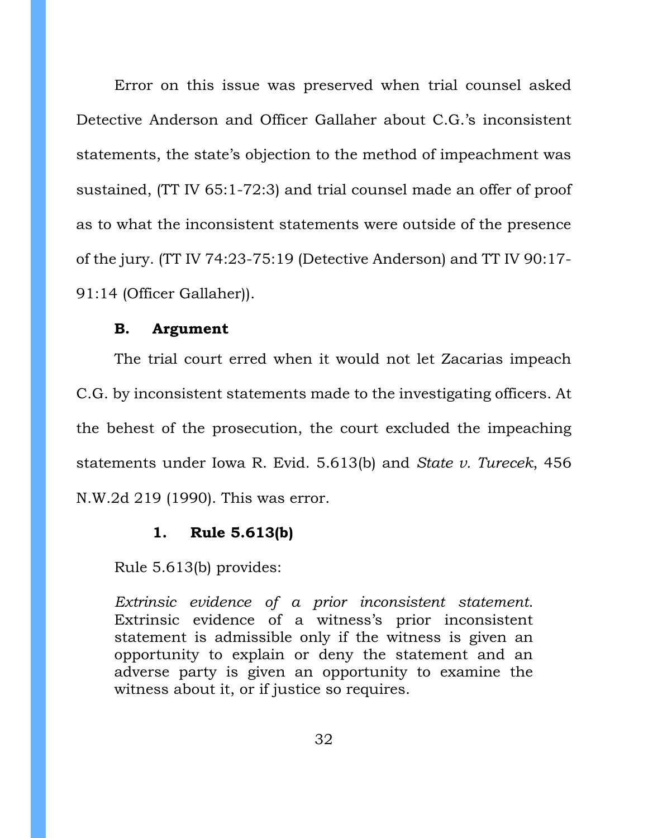Error on this issue was preserved when trial counsel asked Detective Anderson and Officer Gallaher about C.G.'s inconsistent statements, the state's objection to the method of impeachment was sustained, (TT IV 65:1-72:3) and trial counsel made an offer of proof as to what the inconsistent statements were outside of the presence of the jury. (TT IV 74:23-75:19 (Detective Anderson) and TT IV 90:17- 91:14 (Officer Gallaher)).

#### **B. Argument**

<span id="page-31-0"></span>The trial court erred when it would not let Zacarias impeach C.G. by inconsistent statements made to the investigating officers. At the behest of the prosecution, the court excluded the impeaching statements under Iowa R. Evid. 5.613(b) and *State v. Turecek*, 456 N.W.2d 219 (1990). This was error.

### **1. Rule 5.613(b)**

<span id="page-31-1"></span>Rule 5.613(b) provides:

*Extrinsic evidence of a prior inconsistent statement*. Extrinsic evidence of a witness's prior inconsistent statement is admissible only if the witness is given an opportunity to explain or deny the statement and an adverse party is given an opportunity to examine the witness about it, or if justice so requires.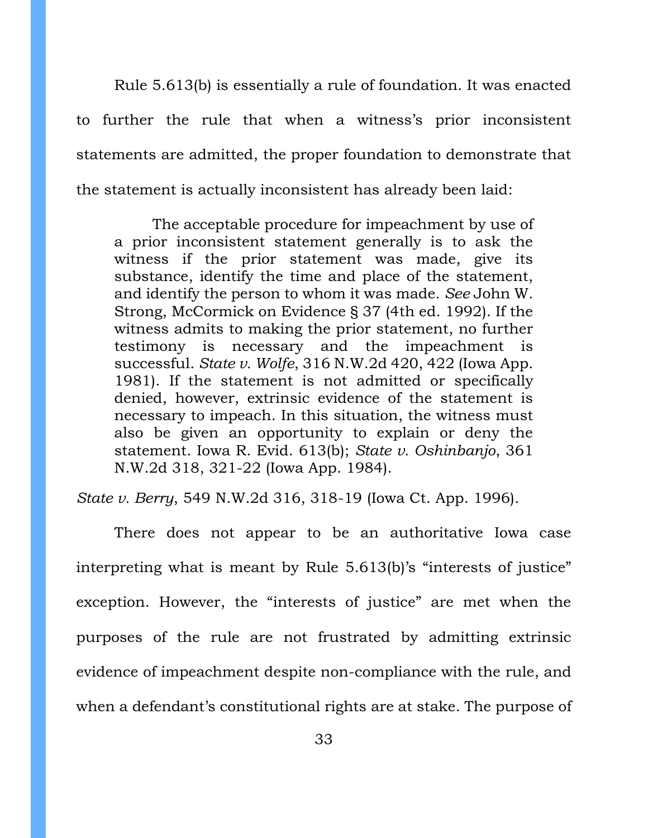Rule 5.613(b) is essentially a rule of foundation. It was enacted to further the rule that when a witness's prior inconsistent statements are admitted, the proper foundation to demonstrate that the statement is actually inconsistent has already been laid:

The acceptable procedure for impeachment by use of a prior inconsistent statement generally is to ask the witness if the prior statement was made, give its substance, identify the time and place of the statement, and identify the person to whom it was made. *See* John W. Strong, McCormick on Evidence § 37 (4th ed. 1992). If the witness admits to making the prior statement, no further testimony is necessary and the impeachment is successful. *State v. Wolfe*, 316 N.W.2d 420, 422 (Iowa App. 1981). If the statement is not admitted or specifically denied, however, extrinsic evidence of the statement is necessary to impeach. In this situation, the witness must also be given an opportunity to explain or deny the statement. Iowa R. Evid. 613(b); *State v. Oshinbanjo*, 361 N.W.2d 318, 321-22 (Iowa App. 1984).

*State v. Berry*, 549 N.W.2d 316, 318-19 (Iowa Ct. App. 1996).

There does not appear to be an authoritative Iowa case interpreting what is meant by Rule 5.613(b)'s "interests of justice" exception. However, the "interests of justice" are met when the purposes of the rule are not frustrated by admitting extrinsic evidence of impeachment despite non-compliance with the rule, and when a defendant's constitutional rights are at stake. The purpose of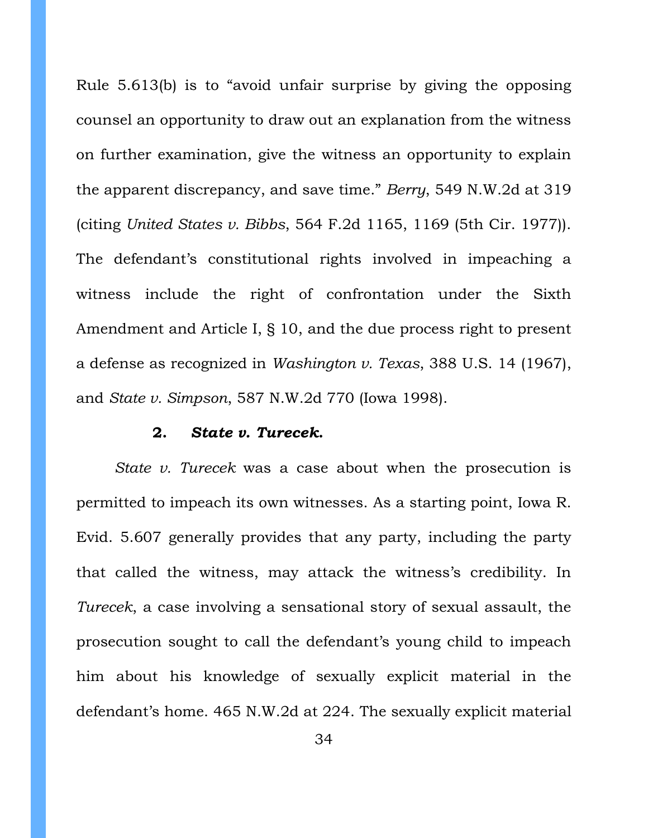Rule 5.613(b) is to "avoid unfair surprise by giving the opposing counsel an opportunity to draw out an explanation from the witness on further examination, give the witness an opportunity to explain the apparent discrepancy, and save time." *Berry*, 549 N.W.2d at 319 (citing *United States v. Bibbs*, 564 F.2d 1165, 1169 (5th Cir. 1977)). The defendant's constitutional rights involved in impeaching a witness include the right of confrontation under the Sixth Amendment and Article I, § 10, and the due process right to present a defense as recognized in *Washington v. Texas*, 388 U.S. 14 (1967), and *State v. Simpson*, 587 N.W.2d 770 (Iowa 1998).

#### **2.** *State v. Turecek***.**

<span id="page-33-0"></span>*State v. Turecek* was a case about when the prosecution is permitted to impeach its own witnesses. As a starting point, Iowa R. Evid. 5.607 generally provides that any party, including the party that called the witness, may attack the witness's credibility. In *Turecek*, a case involving a sensational story of sexual assault, the prosecution sought to call the defendant's young child to impeach him about his knowledge of sexually explicit material in the defendant's home. 465 N.W.2d at 224. The sexually explicit material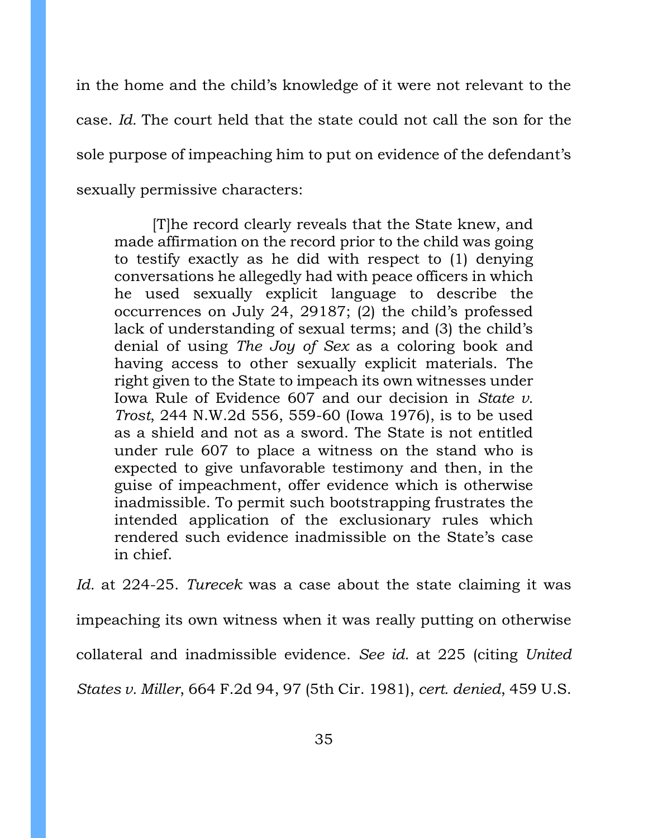in the home and the child's knowledge of it were not relevant to the case. *Id.* The court held that the state could not call the son for the sole purpose of impeaching him to put on evidence of the defendant's sexually permissive characters:

[T]he record clearly reveals that the State knew, and made affirmation on the record prior to the child was going to testify exactly as he did with respect to (1) denying conversations he allegedly had with peace officers in which he used sexually explicit language to describe the occurrences on July 24, 29187; (2) the child's professed lack of understanding of sexual terms; and (3) the child's denial of using *The Joy of Sex* as a coloring book and having access to other sexually explicit materials. The right given to the State to impeach its own witnesses under Iowa Rule of Evidence 607 and our decision in *State v. Trost*, 244 N.W.2d 556, 559-60 (Iowa 1976), is to be used as a shield and not as a sword. The State is not entitled under rule 607 to place a witness on the stand who is expected to give unfavorable testimony and then, in the guise of impeachment, offer evidence which is otherwise inadmissible. To permit such bootstrapping frustrates the intended application of the exclusionary rules which rendered such evidence inadmissible on the State's case in chief.

*Id.* at 224-25. *Turecek* was a case about the state claiming it was impeaching its own witness when it was really putting on otherwise collateral and inadmissible evidence. *See id.* at 225 (citing *United States v. Miller*, 664 F.2d 94, 97 (5th Cir. 1981), *cert. denied*, 459 U.S.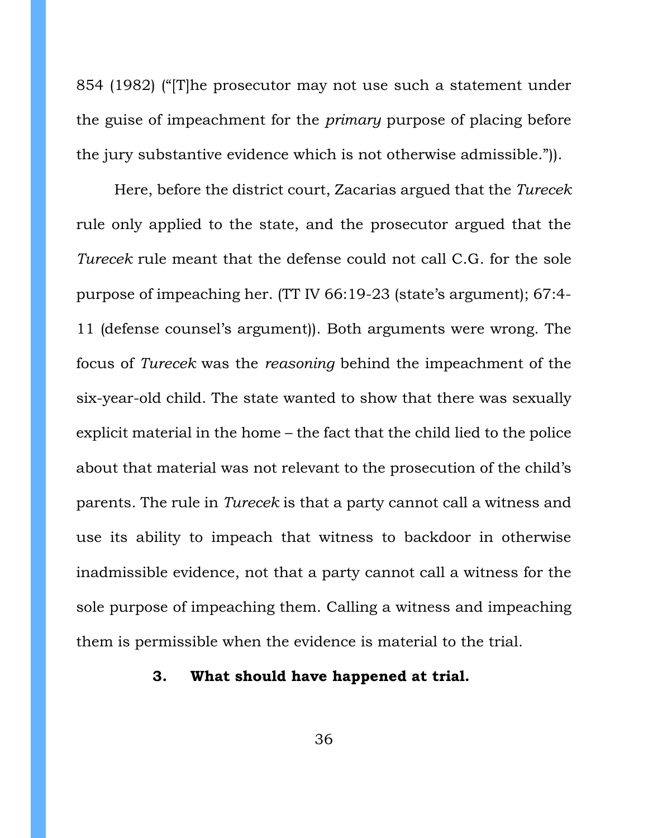854 (1982) ("[T]he prosecutor may not use such a statement under the guise of impeachment for the *primary* purpose of placing before the jury substantive evidence which is not otherwise admissible.")).

Here, before the district court, Zacarias argued that the *Turecek* rule only applied to the state, and the prosecutor argued that the *Turecek* rule meant that the defense could not call C.G. for the sole purpose of impeaching her. (TT IV 66:19-23 (state's argument); 67:4- 11 (defense counsel's argument)). Both arguments were wrong. The focus of *Turecek* was the *reasoning* behind the impeachment of the six-year-old child. The state wanted to show that there was sexually explicit material in the home – the fact that the child lied to the police about that material was not relevant to the prosecution of the child's parents. The rule in *Turecek* is that a party cannot call a witness and use its ability to impeach that witness to backdoor in otherwise inadmissible evidence, not that a party cannot call a witness for the sole purpose of impeaching them. Calling a witness and impeaching them is permissible when the evidence is material to the trial.

## <span id="page-35-0"></span>**3. What should have happened at trial.**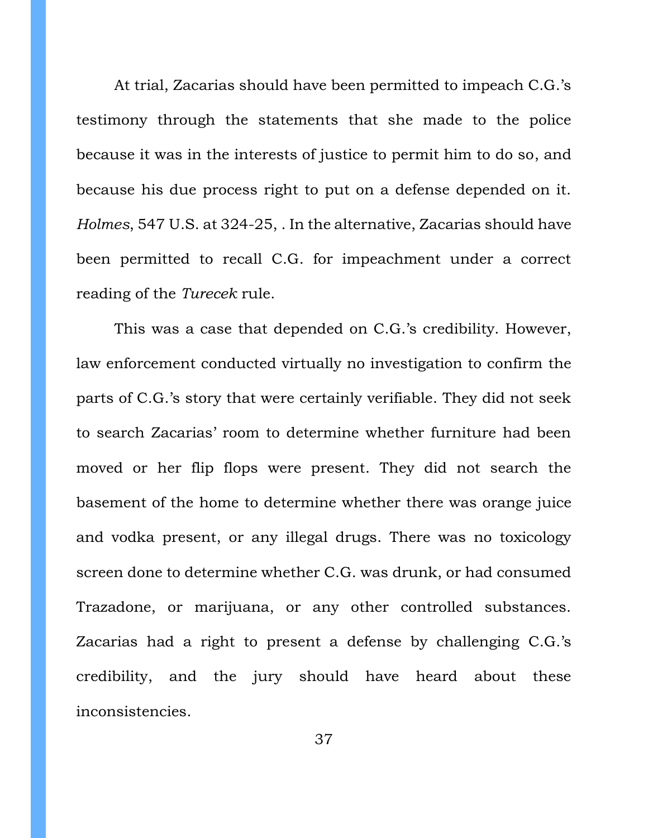At trial, Zacarias should have been permitted to impeach C.G.'s testimony through the statements that she made to the police because it was in the interests of justice to permit him to do so, and because his due process right to put on a defense depended on it. *Holmes*, 547 U.S. at 324-25, . In the alternative, Zacarias should have been permitted to recall C.G. for impeachment under a correct reading of the *Turecek* rule.

This was a case that depended on C.G.'s credibility. However, law enforcement conducted virtually no investigation to confirm the parts of C.G.'s story that were certainly verifiable. They did not seek to search Zacarias' room to determine whether furniture had been moved or her flip flops were present. They did not search the basement of the home to determine whether there was orange juice and vodka present, or any illegal drugs. There was no toxicology screen done to determine whether C.G. was drunk, or had consumed Trazadone, or marijuana, or any other controlled substances. Zacarias had a right to present a defense by challenging C.G.'s credibility, and the jury should have heard about these inconsistencies.

37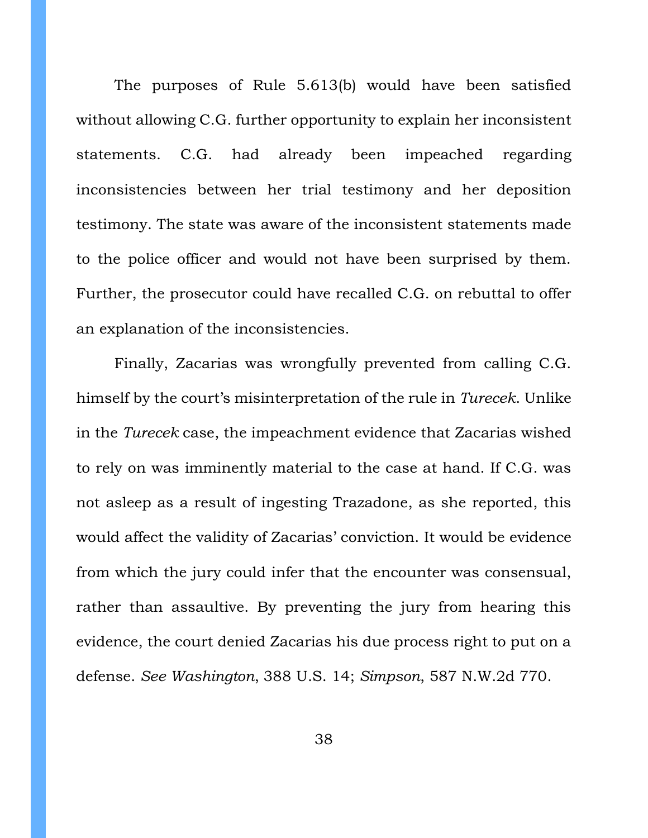The purposes of Rule 5.613(b) would have been satisfied without allowing C.G. further opportunity to explain her inconsistent statements. C.G. had already been impeached regarding inconsistencies between her trial testimony and her deposition testimony. The state was aware of the inconsistent statements made to the police officer and would not have been surprised by them. Further, the prosecutor could have recalled C.G. on rebuttal to offer an explanation of the inconsistencies.

Finally, Zacarias was wrongfully prevented from calling C.G. himself by the court's misinterpretation of the rule in *Turecek*. Unlike in the *Turecek* case, the impeachment evidence that Zacarias wished to rely on was imminently material to the case at hand. If C.G. was not asleep as a result of ingesting Trazadone, as she reported, this would affect the validity of Zacarias' conviction. It would be evidence from which the jury could infer that the encounter was consensual, rather than assaultive. By preventing the jury from hearing this evidence, the court denied Zacarias his due process right to put on a defense. *See Washington*, 388 U.S. 14; *Simpson*, 587 N.W.2d 770.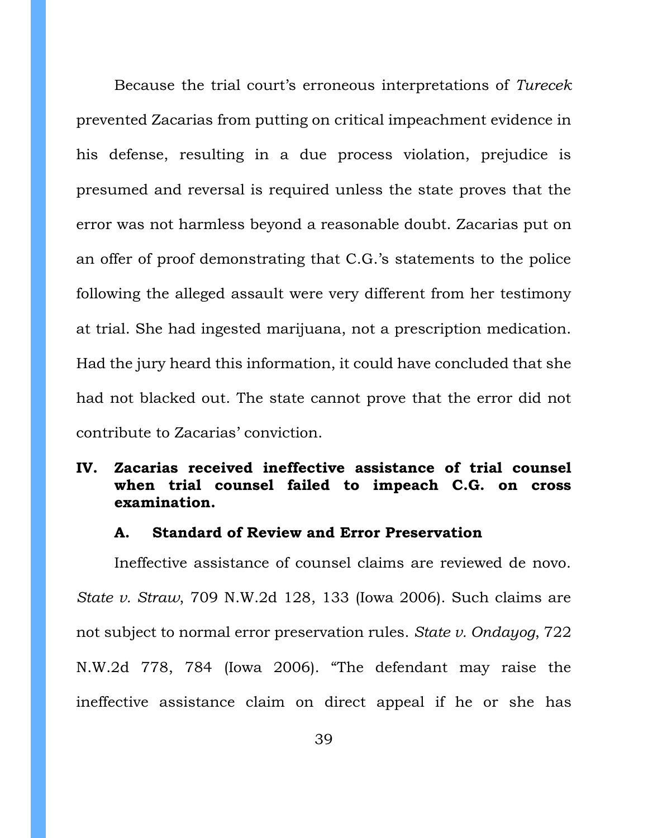Because the trial court's erroneous interpretations of *Turecek* prevented Zacarias from putting on critical impeachment evidence in his defense, resulting in a due process violation, prejudice is presumed and reversal is required unless the state proves that the error was not harmless beyond a reasonable doubt. Zacarias put on an offer of proof demonstrating that C.G.'s statements to the police following the alleged assault were very different from her testimony at trial. She had ingested marijuana, not a prescription medication. Had the jury heard this information, it could have concluded that she had not blacked out. The state cannot prove that the error did not contribute to Zacarias' conviction.

# <span id="page-38-0"></span>**IV. Zacarias received ineffective assistance of trial counsel when trial counsel failed to impeach C.G. on cross examination.**

### **A. Standard of Review and Error Preservation**

<span id="page-38-1"></span>Ineffective assistance of counsel claims are reviewed de novo. *State v. Straw*, 709 N.W.2d 128, 133 (Iowa 2006). Such claims are not subject to normal error preservation rules. *State v. Ondayog*, 722 N.W.2d 778, 784 (Iowa 2006). "The defendant may raise the ineffective assistance claim on direct appeal if he or she has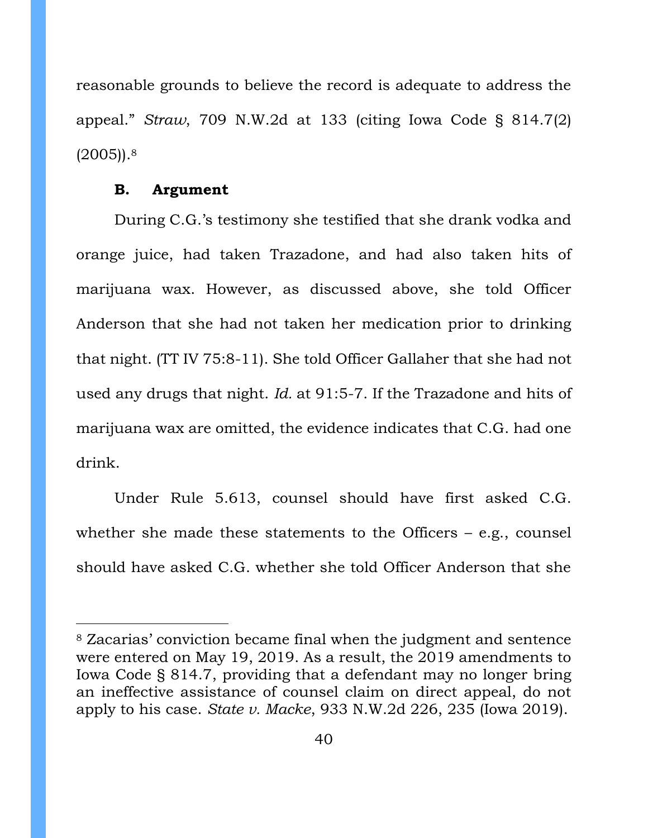reasonable grounds to believe the record is adequate to address the appeal." *Straw*, 709 N.W.2d at 133 (citing Iowa Code § 814.7(2)  $(2005)$ ).<sup>8</sup>

### **B. Argument**

<span id="page-39-0"></span>During C.G.'s testimony she testified that she drank vodka and orange juice, had taken Trazadone, and had also taken hits of marijuana wax. However, as discussed above, she told Officer Anderson that she had not taken her medication prior to drinking that night. (TT IV 75:8-11). She told Officer Gallaher that she had not used any drugs that night. *Id.* at 91:5-7. If the Trazadone and hits of marijuana wax are omitted, the evidence indicates that C.G. had one drink.

Under Rule 5.613, counsel should have first asked C.G. whether she made these statements to the Officers – e.g., counsel should have asked C.G. whether she told Officer Anderson that she

<sup>8</sup> Zacarias' conviction became final when the judgment and sentence were entered on May 19, 2019. As a result, the 2019 amendments to Iowa Code § 814.7, providing that a defendant may no longer bring an ineffective assistance of counsel claim on direct appeal, do not apply to his case. *State v. Macke*, 933 N.W.2d 226, 235 (Iowa 2019).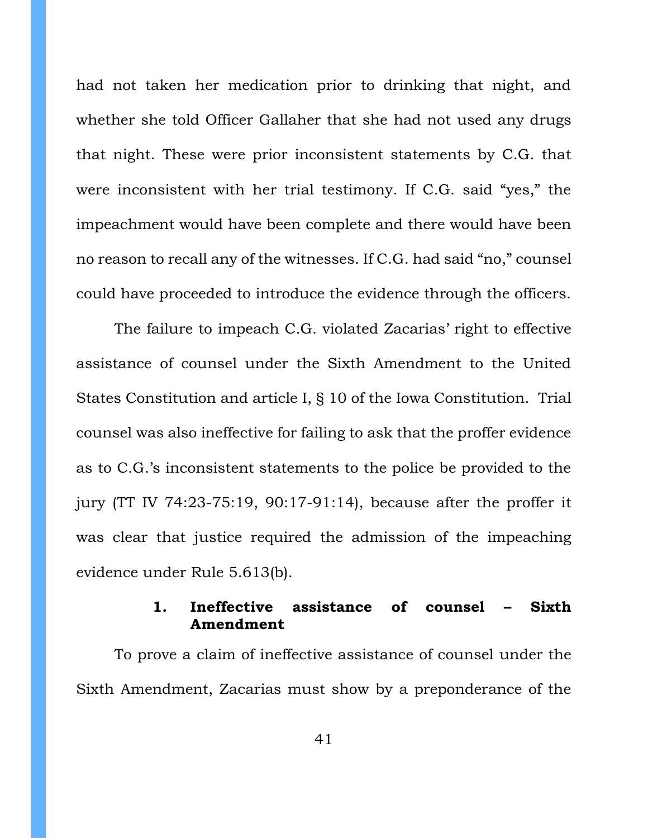had not taken her medication prior to drinking that night, and whether she told Officer Gallaher that she had not used any drugs that night. These were prior inconsistent statements by C.G. that were inconsistent with her trial testimony. If C.G. said "yes," the impeachment would have been complete and there would have been no reason to recall any of the witnesses. If C.G. had said "no," counsel could have proceeded to introduce the evidence through the officers.

The failure to impeach C.G. violated Zacarias' right to effective assistance of counsel under the Sixth Amendment to the United States Constitution and article I, § 10 of the Iowa Constitution. Trial counsel was also ineffective for failing to ask that the proffer evidence as to C.G.'s inconsistent statements to the police be provided to the jury (TT IV 74:23-75:19, 90:17-91:14), because after the proffer it was clear that justice required the admission of the impeaching evidence under Rule 5.613(b).

## **1. Ineffective assistance of counsel – Sixth Amendment**

<span id="page-40-0"></span>To prove a claim of ineffective assistance of counsel under the Sixth Amendment, Zacarias must show by a preponderance of the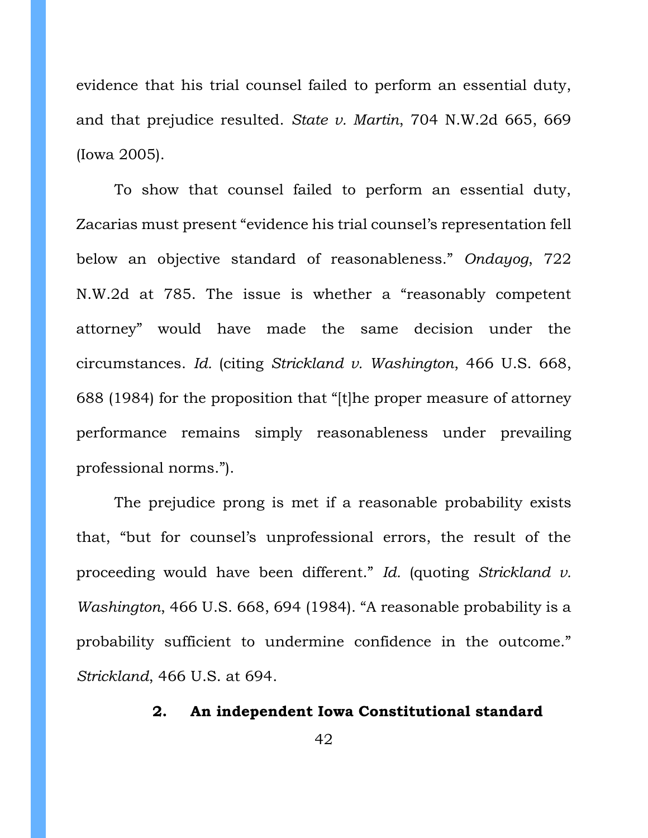evidence that his trial counsel failed to perform an essential duty, and that prejudice resulted. *State v. Martin*, 704 N.W.2d 665, 669 (Iowa 2005).

To show that counsel failed to perform an essential duty, Zacarias must present "evidence his trial counsel's representation fell below an objective standard of reasonableness." *Ondayog*, 722 N.W.2d at 785. The issue is whether a "reasonably competent attorney" would have made the same decision under the circumstances. *Id.* (citing *Strickland v. Washington*, 466 U.S. 668, 688 (1984) for the proposition that "[t]he proper measure of attorney performance remains simply reasonableness under prevailing professional norms.").

The prejudice prong is met if a reasonable probability exists that, "but for counsel's unprofessional errors, the result of the proceeding would have been different." *Id.* (quoting *Strickland v. Washington*, 466 U.S. 668, 694 (1984). "A reasonable probability is a probability sufficient to undermine confidence in the outcome." *Strickland*, 466 U.S. at 694.

# <span id="page-41-0"></span>**2. An independent Iowa Constitutional standard**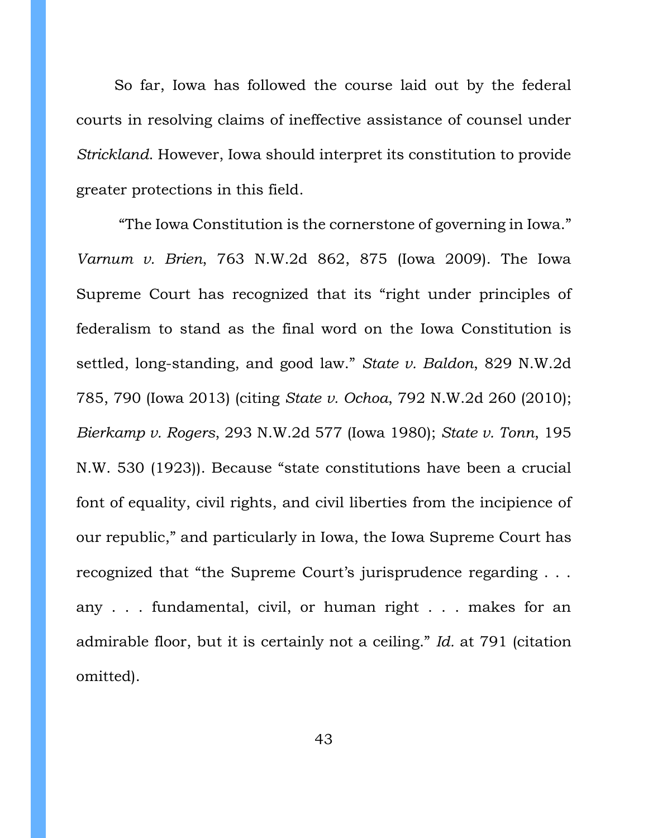So far, Iowa has followed the course laid out by the federal courts in resolving claims of ineffective assistance of counsel under *Strickland*. However, Iowa should interpret its constitution to provide greater protections in this field.

"The Iowa Constitution is the cornerstone of governing in Iowa." *Varnum v. Brien*, 763 N.W.2d 862, 875 (Iowa 2009). The Iowa Supreme Court has recognized that its "right under principles of federalism to stand as the final word on the Iowa Constitution is settled, long-standing, and good law." *State v. Baldon*, 829 N.W.2d 785, 790 (Iowa 2013) (citing *State v. Ochoa*, 792 N.W.2d 260 (2010); *Bierkamp v. Rogers*, 293 N.W.2d 577 (Iowa 1980); *State v. Tonn*, 195 N.W. 530 (1923)). Because "state constitutions have been a crucial font of equality, civil rights, and civil liberties from the incipience of our republic," and particularly in Iowa, the Iowa Supreme Court has recognized that "the Supreme Court's jurisprudence regarding . . . any . . . fundamental, civil, or human right . . . makes for an admirable floor, but it is certainly not a ceiling." *Id.* at 791 (citation omitted).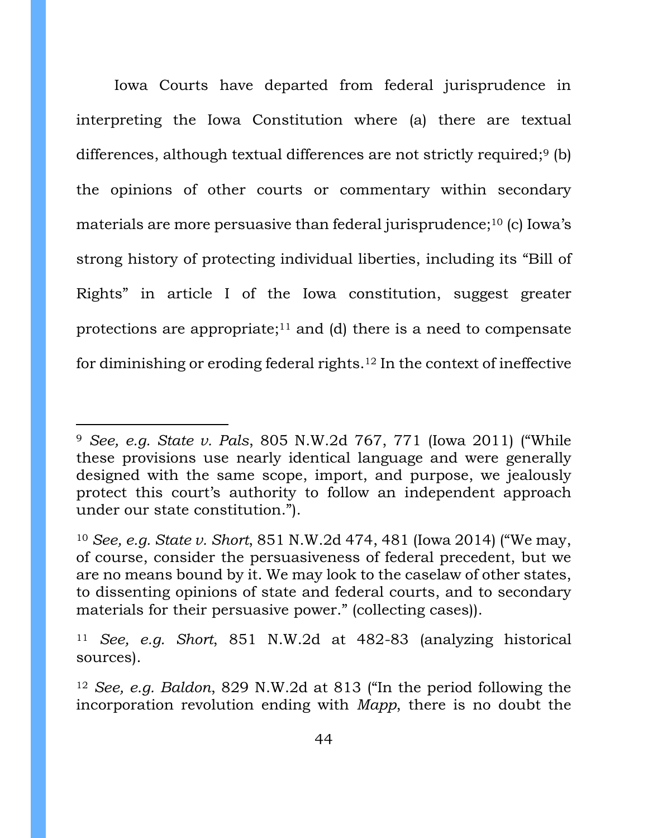Iowa Courts have departed from federal jurisprudence in interpreting the Iowa Constitution where (a) there are textual differences, although textual differences are not strictly required;<sup>9</sup> (b) the opinions of other courts or commentary within secondary materials are more persuasive than federal jurisprudence;<sup>10</sup> (c) Iowa's strong history of protecting individual liberties, including its "Bill of Rights" in article I of the Iowa constitution, suggest greater protections are appropriate; <sup>11</sup> and (d) there is a need to compensate for diminishing or eroding federal rights.<sup>12</sup> In the context of ineffective

<sup>9</sup> *See, e.g. State v. Pals*, 805 N.W.2d 767, 771 (Iowa 2011) ("While these provisions use nearly identical language and were generally designed with the same scope, import, and purpose, we jealously protect this court's authority to follow an independent approach under our state constitution.").

<sup>10</sup> *See, e.g. State v. Short*, 851 N.W.2d 474, 481 (Iowa 2014) ("We may, of course, consider the persuasiveness of federal precedent, but we are no means bound by it. We may look to the caselaw of other states, to dissenting opinions of state and federal courts, and to secondary materials for their persuasive power." (collecting cases)).

<sup>11</sup> *See, e.g. Short*, 851 N.W.2d at 482-83 (analyzing historical sources).

<sup>12</sup> *See, e.g. Baldon*, 829 N.W.2d at 813 ("In the period following the incorporation revolution ending with *Mapp*, there is no doubt the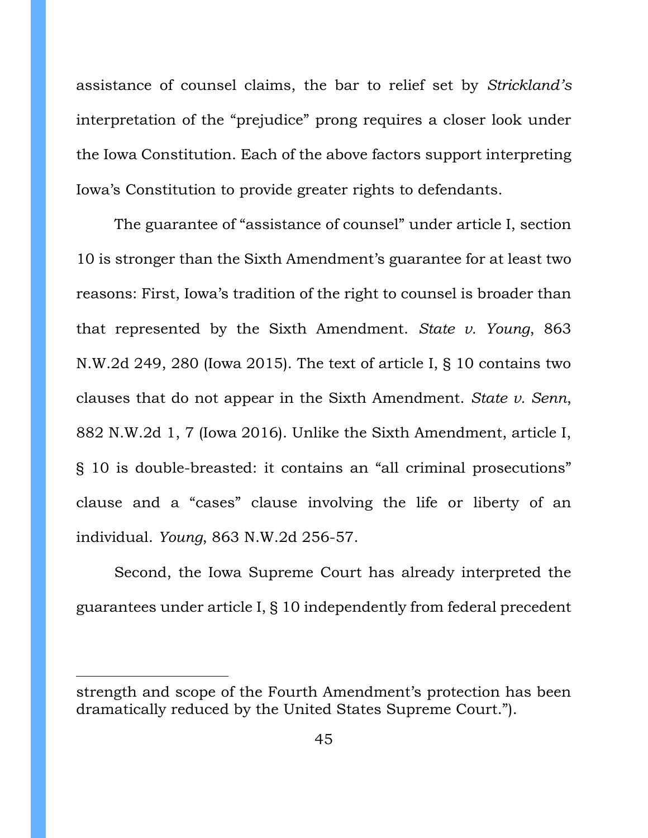assistance of counsel claims, the bar to relief set by *Strickland's*  interpretation of the "prejudice" prong requires a closer look under the Iowa Constitution. Each of the above factors support interpreting Iowa's Constitution to provide greater rights to defendants.

The guarantee of "assistance of counsel" under article I, section 10 is stronger than the Sixth Amendment's guarantee for at least two reasons: First, Iowa's tradition of the right to counsel is broader than that represented by the Sixth Amendment. *State v. Young*, 863 N.W.2d 249, 280 (Iowa 2015). The text of article I, § 10 contains two clauses that do not appear in the Sixth Amendment. *State v. Senn*, 882 N.W.2d 1, 7 (Iowa 2016). Unlike the Sixth Amendment, article I, § 10 is double-breasted: it contains an "all criminal prosecutions" clause and a "cases" clause involving the life or liberty of an individual. *Young*, 863 N.W.2d 256-57.

Second, the Iowa Supreme Court has already interpreted the guarantees under article I, § 10 independently from federal precedent

strength and scope of the Fourth Amendment's protection has been dramatically reduced by the United States Supreme Court.").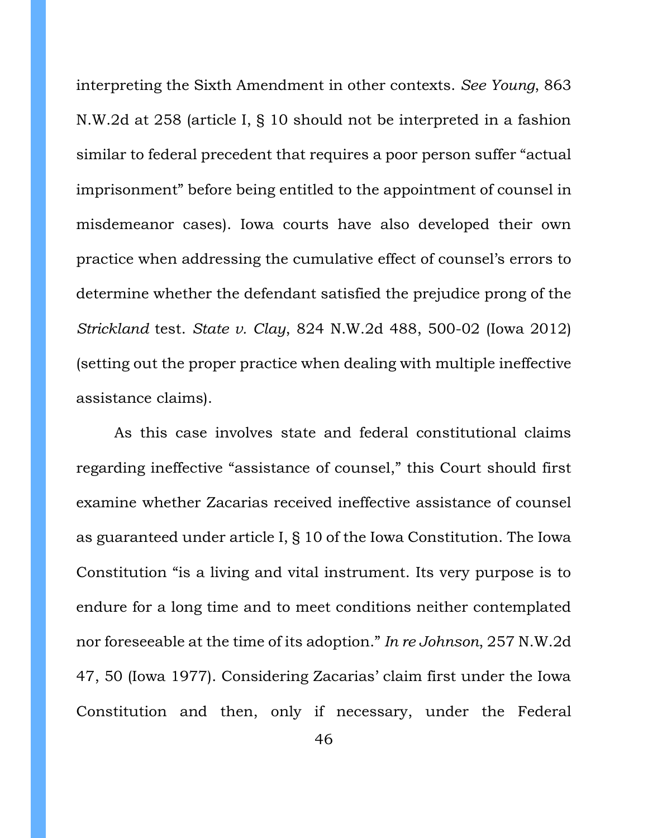interpreting the Sixth Amendment in other contexts. *See Young*, 863 N.W.2d at 258 (article I, § 10 should not be interpreted in a fashion similar to federal precedent that requires a poor person suffer "actual imprisonment" before being entitled to the appointment of counsel in misdemeanor cases). Iowa courts have also developed their own practice when addressing the cumulative effect of counsel's errors to determine whether the defendant satisfied the prejudice prong of the *Strickland* test. *State v. Clay*, 824 N.W.2d 488, 500-02 (Iowa 2012) (setting out the proper practice when dealing with multiple ineffective assistance claims).

As this case involves state and federal constitutional claims regarding ineffective "assistance of counsel," this Court should first examine whether Zacarias received ineffective assistance of counsel as guaranteed under article I, § 10 of the Iowa Constitution. The Iowa Constitution "is a living and vital instrument. Its very purpose is to endure for a long time and to meet conditions neither contemplated nor foreseeable at the time of its adoption." *In re Johnson*, 257 N.W.2d 47, 50 (Iowa 1977). Considering Zacarias' claim first under the Iowa Constitution and then, only if necessary, under the Federal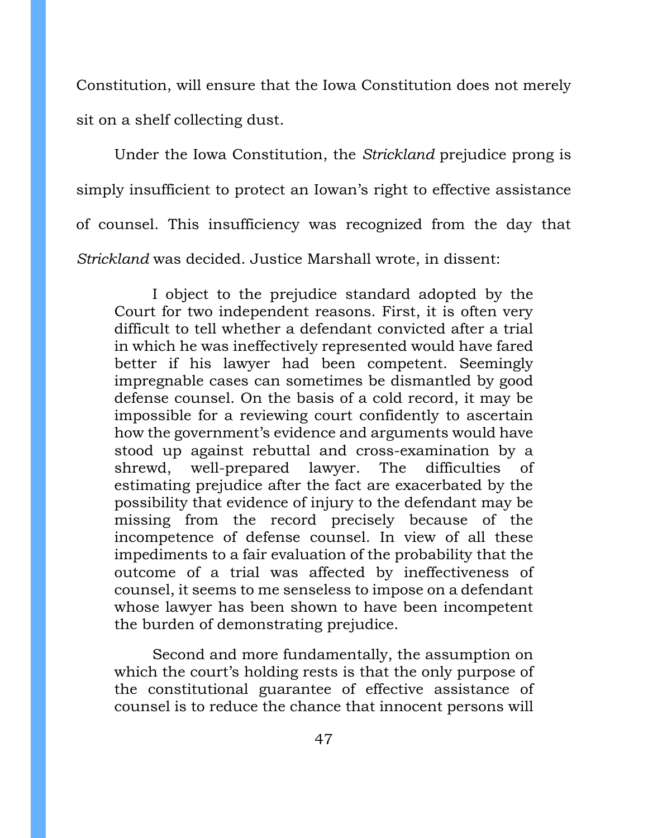Constitution, will ensure that the Iowa Constitution does not merely sit on a shelf collecting dust.

Under the Iowa Constitution, the *Strickland* prejudice prong is simply insufficient to protect an Iowan's right to effective assistance of counsel. This insufficiency was recognized from the day that *Strickland* was decided. Justice Marshall wrote, in dissent:

I object to the prejudice standard adopted by the Court for two independent reasons. First, it is often very difficult to tell whether a defendant convicted after a trial in which he was ineffectively represented would have fared better if his lawyer had been competent. Seemingly impregnable cases can sometimes be dismantled by good defense counsel. On the basis of a cold record, it may be impossible for a reviewing court confidently to ascertain how the government's evidence and arguments would have stood up against rebuttal and cross-examination by a shrewd, well-prepared lawyer. The difficulties of estimating prejudice after the fact are exacerbated by the possibility that evidence of injury to the defendant may be missing from the record precisely because of the incompetence of defense counsel. In view of all these impediments to a fair evaluation of the probability that the outcome of a trial was affected by ineffectiveness of counsel, it seems to me senseless to impose on a defendant whose lawyer has been shown to have been incompetent the burden of demonstrating prejudice.

Second and more fundamentally, the assumption on which the court's holding rests is that the only purpose of the constitutional guarantee of effective assistance of counsel is to reduce the chance that innocent persons will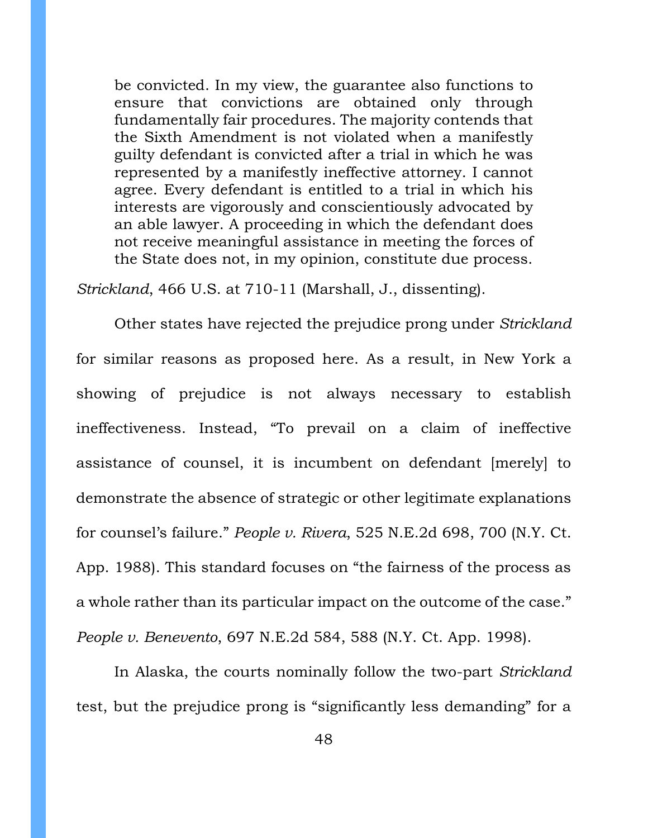be convicted. In my view, the guarantee also functions to ensure that convictions are obtained only through fundamentally fair procedures. The majority contends that the Sixth Amendment is not violated when a manifestly guilty defendant is convicted after a trial in which he was represented by a manifestly ineffective attorney. I cannot agree. Every defendant is entitled to a trial in which his interests are vigorously and conscientiously advocated by an able lawyer. A proceeding in which the defendant does not receive meaningful assistance in meeting the forces of the State does not, in my opinion, constitute due process.

*Strickland*, 466 U.S. at 710-11 (Marshall, J., dissenting).

Other states have rejected the prejudice prong under *Strickland* for similar reasons as proposed here. As a result, in New York a showing of prejudice is not always necessary to establish ineffectiveness. Instead, "To prevail on a claim of ineffective assistance of counsel, it is incumbent on defendant [merely] to demonstrate the absence of strategic or other legitimate explanations for counsel's failure." *People v. Rivera*, 525 N.E.2d 698, 700 (N.Y. Ct. App. 1988). This standard focuses on "the fairness of the process as a whole rather than its particular impact on the outcome of the case." *People v. Benevento*, 697 N.E.2d 584, 588 (N.Y. Ct. App. 1998).

In Alaska, the courts nominally follow the two-part *Strickland* test, but the prejudice prong is "significantly less demanding" for a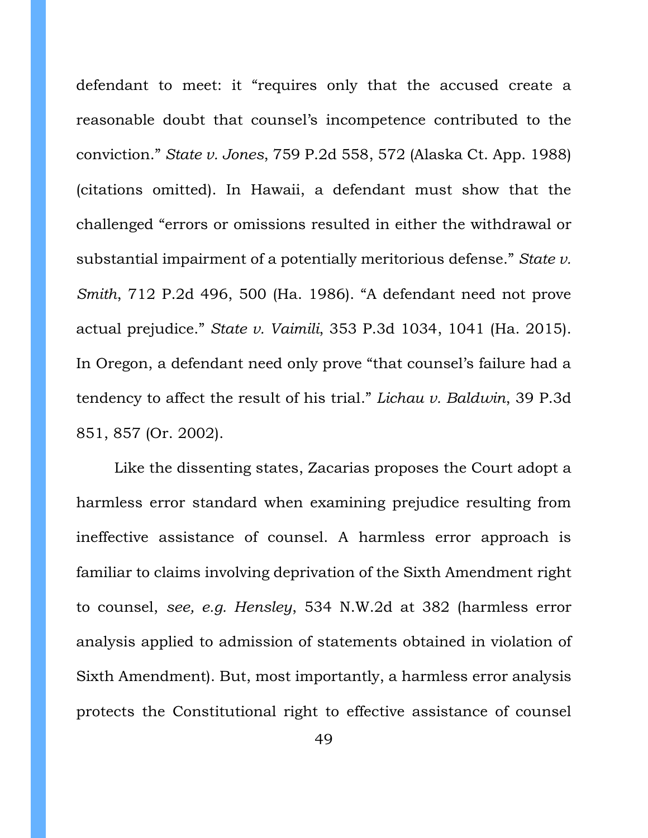defendant to meet: it "requires only that the accused create a reasonable doubt that counsel's incompetence contributed to the conviction." *State v. Jones*, 759 P.2d 558, 572 (Alaska Ct. App. 1988) (citations omitted). In Hawaii, a defendant must show that the challenged "errors or omissions resulted in either the withdrawal or substantial impairment of a potentially meritorious defense." *State v. Smith*, 712 P.2d 496, 500 (Ha. 1986). "A defendant need not prove actual prejudice." *State v. Vaimili*, 353 P.3d 1034, 1041 (Ha. 2015). In Oregon, a defendant need only prove "that counsel's failure had a tendency to affect the result of his trial." *Lichau v. Baldwin*, 39 P.3d 851, 857 (Or. 2002).

Like the dissenting states, Zacarias proposes the Court adopt a harmless error standard when examining prejudice resulting from ineffective assistance of counsel. A harmless error approach is familiar to claims involving deprivation of the Sixth Amendment right to counsel, *see, e.g. Hensley*, 534 N.W.2d at 382 (harmless error analysis applied to admission of statements obtained in violation of Sixth Amendment). But, most importantly, a harmless error analysis protects the Constitutional right to effective assistance of counsel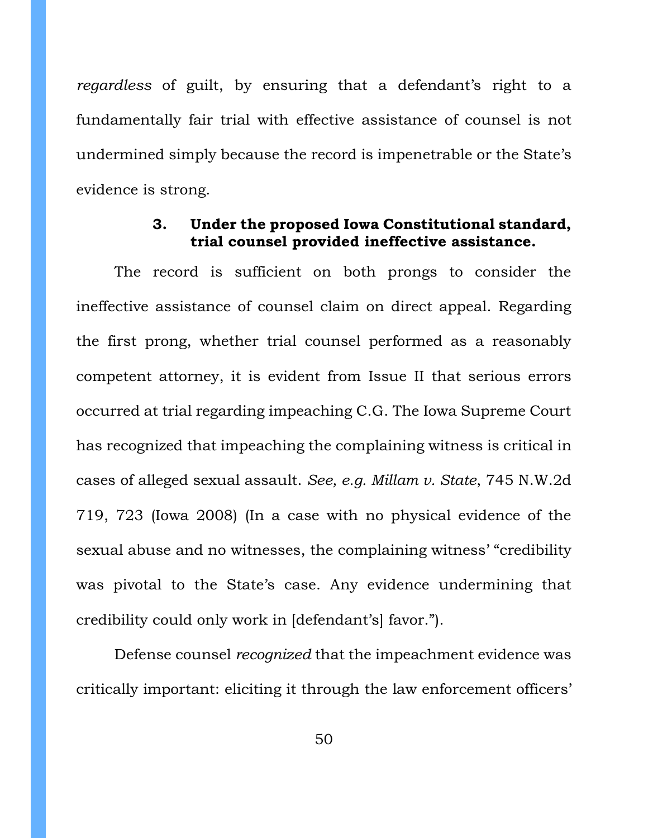*regardless* of guilt, by ensuring that a defendant's right to a fundamentally fair trial with effective assistance of counsel is not undermined simply because the record is impenetrable or the State's evidence is strong.

## **3. Under the proposed Iowa Constitutional standard, trial counsel provided ineffective assistance.**

<span id="page-49-0"></span>The record is sufficient on both prongs to consider the ineffective assistance of counsel claim on direct appeal. Regarding the first prong, whether trial counsel performed as a reasonably competent attorney, it is evident from Issue II that serious errors occurred at trial regarding impeaching C.G. The Iowa Supreme Court has recognized that impeaching the complaining witness is critical in cases of alleged sexual assault. *See, e.g. Millam v. State*, 745 N.W.2d 719, 723 (Iowa 2008) (In a case with no physical evidence of the sexual abuse and no witnesses, the complaining witness' "credibility was pivotal to the State's case. Any evidence undermining that credibility could only work in [defendant's] favor.").

Defense counsel *recognized* that the impeachment evidence was critically important: eliciting it through the law enforcement officers'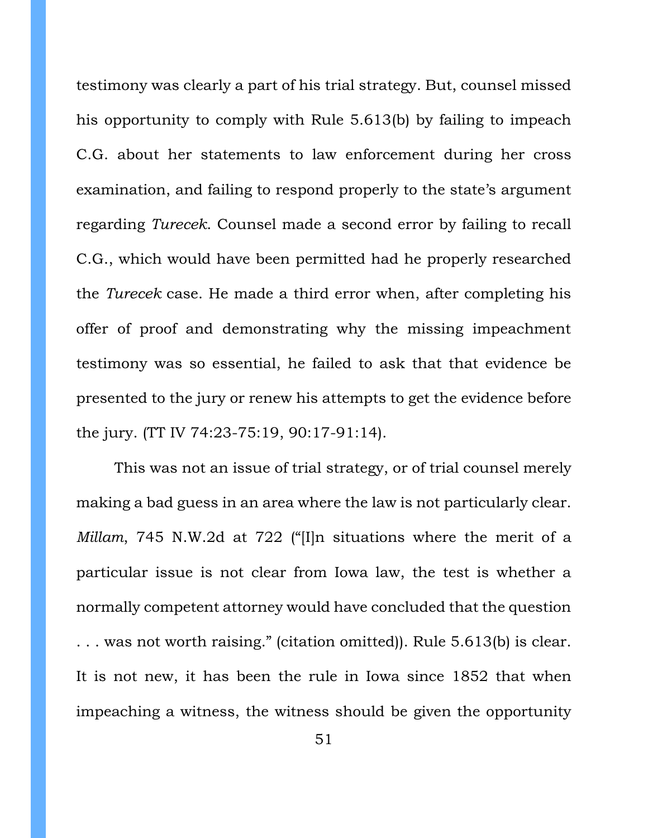testimony was clearly a part of his trial strategy. But, counsel missed his opportunity to comply with Rule 5.613(b) by failing to impeach C.G. about her statements to law enforcement during her cross examination, and failing to respond properly to the state's argument regarding *Turecek*. Counsel made a second error by failing to recall C.G., which would have been permitted had he properly researched the *Turecek* case. He made a third error when, after completing his offer of proof and demonstrating why the missing impeachment testimony was so essential, he failed to ask that that evidence be presented to the jury or renew his attempts to get the evidence before the jury. (TT IV 74:23-75:19, 90:17-91:14).

This was not an issue of trial strategy, or of trial counsel merely making a bad guess in an area where the law is not particularly clear. *Millam*, 745 N.W.2d at 722 ("[I]n situations where the merit of a particular issue is not clear from Iowa law, the test is whether a normally competent attorney would have concluded that the question . . . was not worth raising." (citation omitted)). Rule 5.613(b) is clear. It is not new, it has been the rule in Iowa since 1852 that when impeaching a witness, the witness should be given the opportunity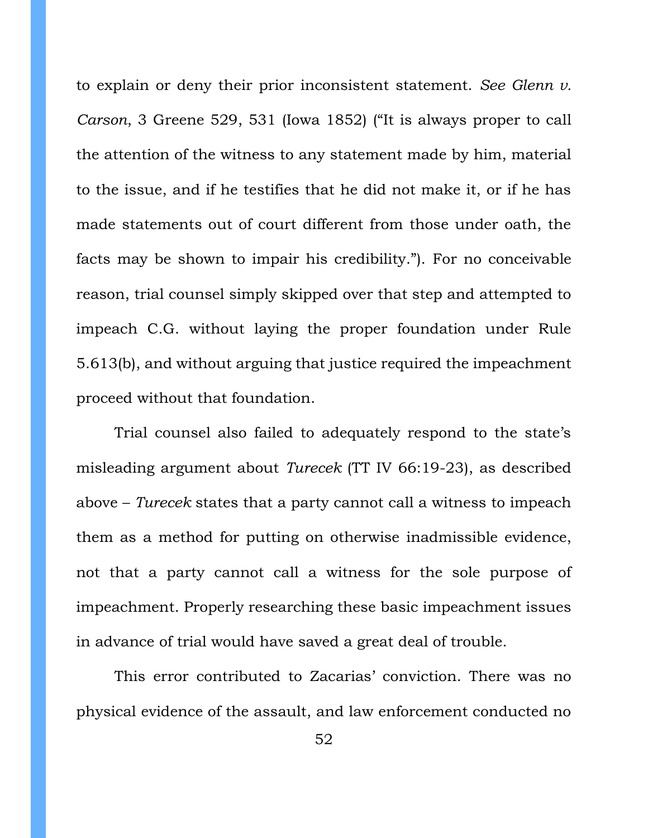to explain or deny their prior inconsistent statement. *See Glenn v. Carson*, 3 Greene 529, 531 (Iowa 1852) ("It is always proper to call the attention of the witness to any statement made by him, material to the issue, and if he testifies that he did not make it, or if he has made statements out of court different from those under oath, the facts may be shown to impair his credibility."). For no conceivable reason, trial counsel simply skipped over that step and attempted to impeach C.G. without laying the proper foundation under Rule 5.613(b), and without arguing that justice required the impeachment proceed without that foundation.

Trial counsel also failed to adequately respond to the state's misleading argument about *Turecek* (TT IV 66:19-23), as described above – *Turecek* states that a party cannot call a witness to impeach them as a method for putting on otherwise inadmissible evidence, not that a party cannot call a witness for the sole purpose of impeachment. Properly researching these basic impeachment issues in advance of trial would have saved a great deal of trouble.

This error contributed to Zacarias' conviction. There was no physical evidence of the assault, and law enforcement conducted no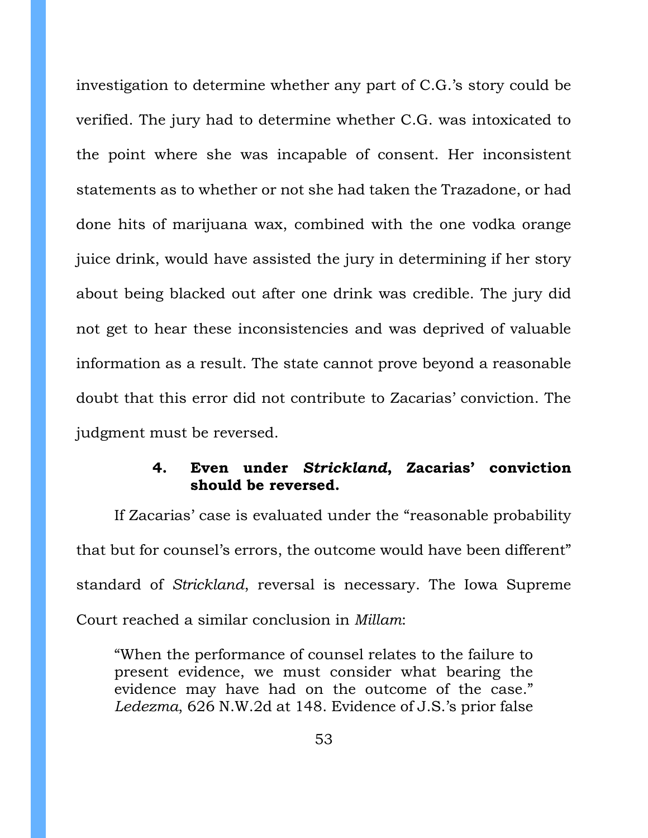investigation to determine whether any part of C.G.'s story could be verified. The jury had to determine whether C.G. was intoxicated to the point where she was incapable of consent. Her inconsistent statements as to whether or not she had taken the Trazadone, or had done hits of marijuana wax, combined with the one vodka orange juice drink, would have assisted the jury in determining if her story about being blacked out after one drink was credible. The jury did not get to hear these inconsistencies and was deprived of valuable information as a result. The state cannot prove beyond a reasonable doubt that this error did not contribute to Zacarias' conviction. The judgment must be reversed.

# **4. Even under** *Strickland***, Zacarias' conviction should be reversed.**

<span id="page-52-0"></span>If Zacarias' case is evaluated under the "reasonable probability that but for counsel's errors, the outcome would have been different" standard of *Strickland*, reversal is necessary. The Iowa Supreme Court reached a similar conclusion in *Millam*:

"When the performance of counsel relates to the failure to present evidence, we must consider what bearing the evidence may have had on the outcome of the case." *Ledezma*, 626 N.W.2d at 148. Evidence of J.S.'s prior false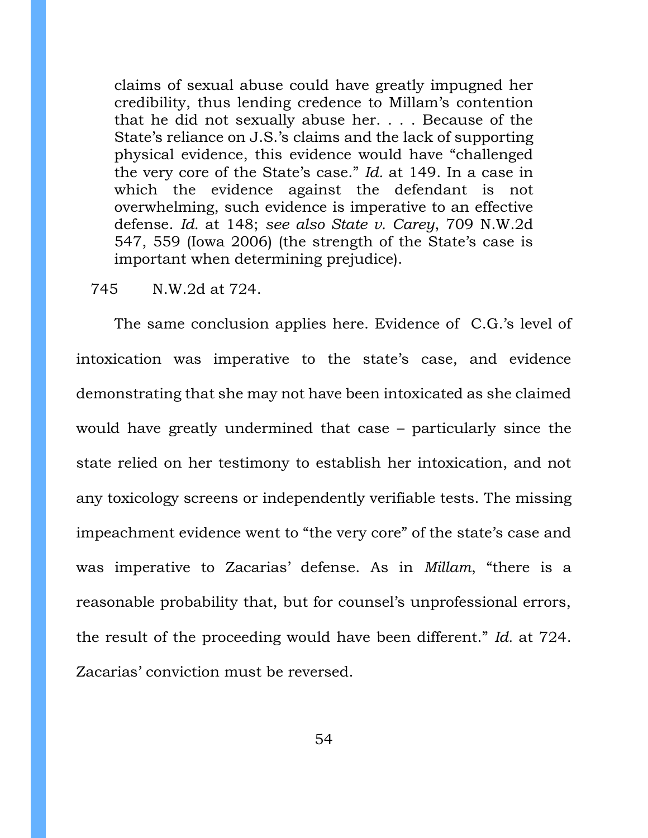claims of sexual abuse could have greatly impugned her credibility, thus lending credence to Millam's contention that he did not sexually abuse her. . . . Because of the State's reliance on J.S.'s claims and the lack of supporting physical evidence, this evidence would have "challenged the very core of the State's case." *Id.* at 149. In a case in which the evidence against the defendant is not overwhelming, such evidence is imperative to an effective defense. *Id.* at 148; *see also State v. Carey*, 709 N.W.2d 547, 559 (Iowa 2006) (the strength of the State's case is important when determining prejudice).

#### 745 N.W.2d at 724.

The same conclusion applies here. Evidence of C.G.'s level of intoxication was imperative to the state's case, and evidence demonstrating that she may not have been intoxicated as she claimed would have greatly undermined that case – particularly since the state relied on her testimony to establish her intoxication, and not any toxicology screens or independently verifiable tests. The missing impeachment evidence went to "the very core" of the state's case and was imperative to Zacarias' defense. As in *Millam*, "there is a reasonable probability that, but for counsel's unprofessional errors, the result of the proceeding would have been different." *Id.* at 724. Zacarias' conviction must be reversed.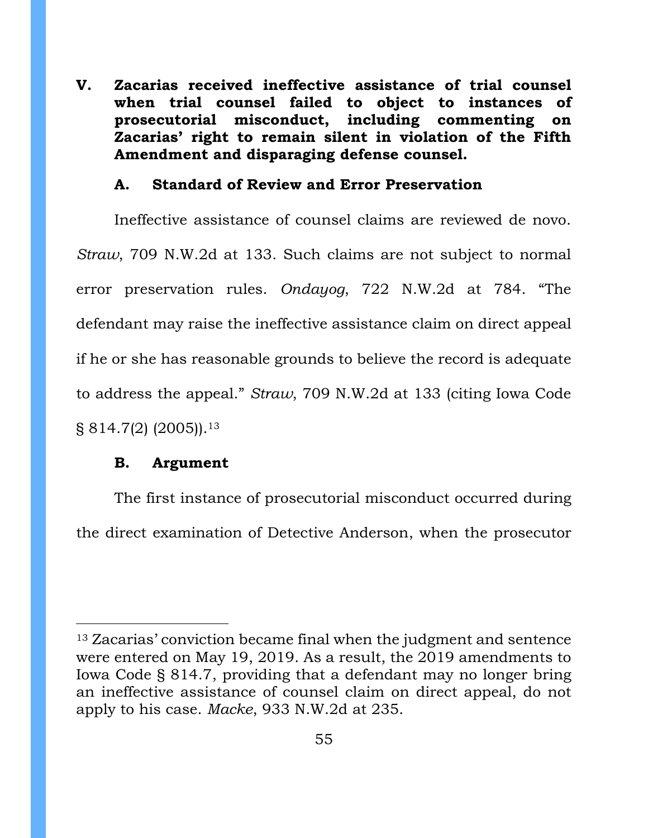<span id="page-54-0"></span>**V. Zacarias received ineffective assistance of trial counsel when trial counsel failed to object to instances of prosecutorial misconduct, including commenting on Zacarias' right to remain silent in violation of the Fifth Amendment and disparaging defense counsel.** 

### **A. Standard of Review and Error Preservation**

<span id="page-54-1"></span>Ineffective assistance of counsel claims are reviewed de novo. *Straw*, 709 N.W.2d at 133. Such claims are not subject to normal error preservation rules. *Ondayog*, 722 N.W.2d at 784. "The defendant may raise the ineffective assistance claim on direct appeal if he or she has reasonable grounds to believe the record is adequate to address the appeal." *Straw*, 709 N.W.2d at 133 (citing Iowa Code § 814.7(2) (2005)).<sup>13</sup>

### **B. Argument**

<span id="page-54-2"></span>The first instance of prosecutorial misconduct occurred during the direct examination of Detective Anderson, when the prosecutor

<sup>13</sup> Zacarias' conviction became final when the judgment and sentence were entered on May 19, 2019. As a result, the 2019 amendments to Iowa Code § 814.7, providing that a defendant may no longer bring an ineffective assistance of counsel claim on direct appeal, do not apply to his case. *Macke*, 933 N.W.2d at 235.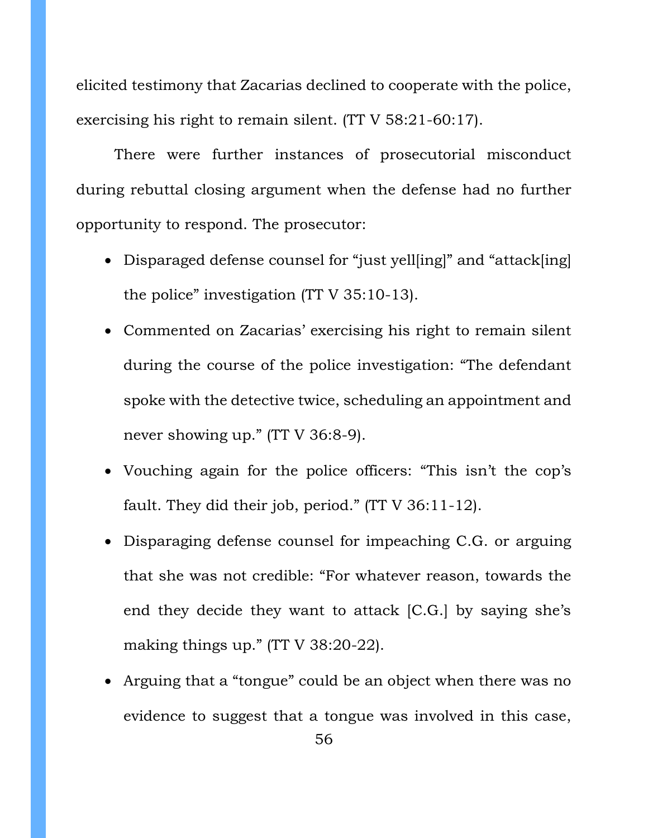elicited testimony that Zacarias declined to cooperate with the police, exercising his right to remain silent. (TT V 58:21-60:17).

There were further instances of prosecutorial misconduct during rebuttal closing argument when the defense had no further opportunity to respond. The prosecutor:

- Disparaged defense counsel for "just yell[ing]" and "attack[ing] the police" investigation (TT V 35:10-13).
- Commented on Zacarias' exercising his right to remain silent during the course of the police investigation: "The defendant spoke with the detective twice, scheduling an appointment and never showing up." (TT V 36:8-9).
- Vouching again for the police officers: "This isn't the cop's fault. They did their job, period." (TT V 36:11-12).
- Disparaging defense counsel for impeaching C.G. or arguing that she was not credible: "For whatever reason, towards the end they decide they want to attack [C.G.] by saying she's making things up." (TT V 38:20-22).
- Arguing that a "tongue" could be an object when there was no evidence to suggest that a tongue was involved in this case,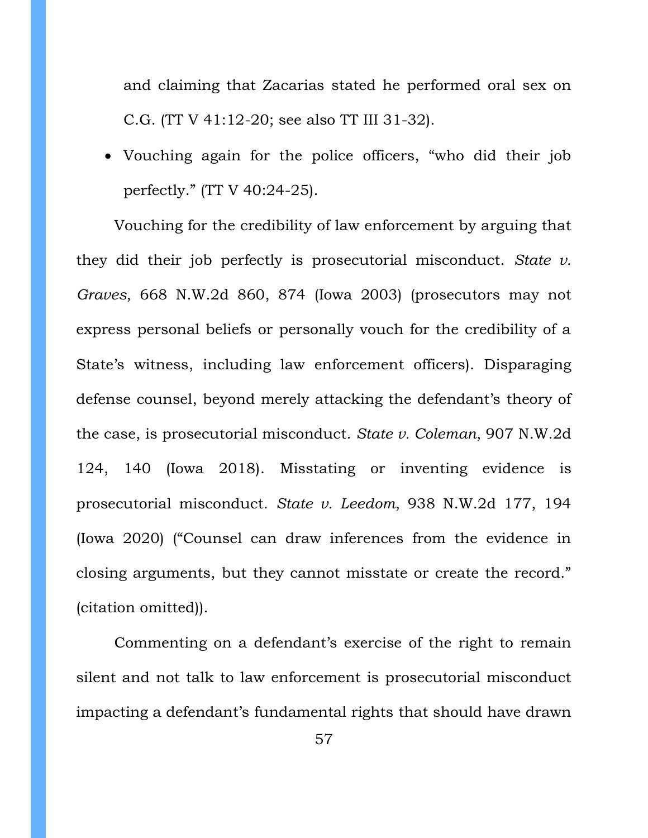and claiming that Zacarias stated he performed oral sex on C.G. (TT V 41:12-20; see also TT III 31-32).

• Vouching again for the police officers, "who did their job perfectly." (TT V 40:24-25).

Vouching for the credibility of law enforcement by arguing that they did their job perfectly is prosecutorial misconduct. *State v. Graves*, 668 N.W.2d 860, 874 (Iowa 2003) (prosecutors may not express personal beliefs or personally vouch for the credibility of a State's witness, including law enforcement officers). Disparaging defense counsel, beyond merely attacking the defendant's theory of the case, is prosecutorial misconduct. *State v. Coleman*, 907 N.W.2d 124, 140 (Iowa 2018). Misstating or inventing evidence is prosecutorial misconduct. *State v. Leedom*, 938 N.W.2d 177, 194 (Iowa 2020) ("Counsel can draw inferences from the evidence in closing arguments, but they cannot misstate or create the record." (citation omitted)).

Commenting on a defendant's exercise of the right to remain silent and not talk to law enforcement is prosecutorial misconduct impacting a defendant's fundamental rights that should have drawn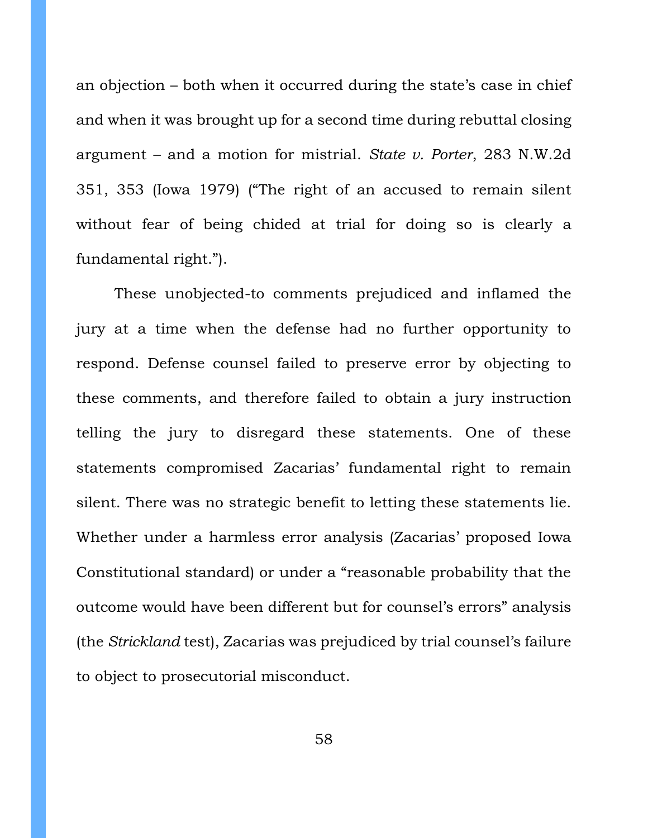an objection – both when it occurred during the state's case in chief and when it was brought up for a second time during rebuttal closing argument – and a motion for mistrial. *State v. Porter*, 283 N.W.2d 351, 353 (Iowa 1979) ("The right of an accused to remain silent without fear of being chided at trial for doing so is clearly a fundamental right.").

These unobjected-to comments prejudiced and inflamed the jury at a time when the defense had no further opportunity to respond. Defense counsel failed to preserve error by objecting to these comments, and therefore failed to obtain a jury instruction telling the jury to disregard these statements. One of these statements compromised Zacarias' fundamental right to remain silent. There was no strategic benefit to letting these statements lie. Whether under a harmless error analysis (Zacarias' proposed Iowa Constitutional standard) or under a "reasonable probability that the outcome would have been different but for counsel's errors" analysis (the *Strickland* test), Zacarias was prejudiced by trial counsel's failure to object to prosecutorial misconduct.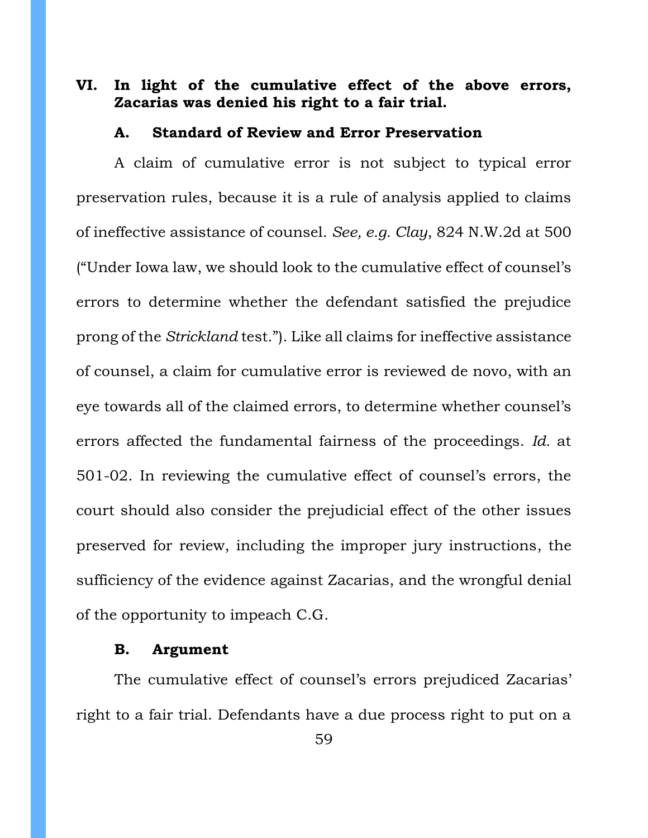# <span id="page-58-0"></span>**VI. In light of the cumulative effect of the above errors, Zacarias was denied his right to a fair trial.**

#### **A. Standard of Review and Error Preservation**

<span id="page-58-1"></span>A claim of cumulative error is not subject to typical error preservation rules, because it is a rule of analysis applied to claims of ineffective assistance of counsel. *See, e.g. Clay*, 824 N.W.2d at 500 ("Under Iowa law, we should look to the cumulative effect of counsel's errors to determine whether the defendant satisfied the prejudice prong of the *Strickland* test."). Like all claims for ineffective assistance of counsel, a claim for cumulative error is reviewed de novo, with an eye towards all of the claimed errors, to determine whether counsel's errors affected the fundamental fairness of the proceedings. *Id.* at 501-02. In reviewing the cumulative effect of counsel's errors, the court should also consider the prejudicial effect of the other issues preserved for review, including the improper jury instructions, the sufficiency of the evidence against Zacarias, and the wrongful denial of the opportunity to impeach C.G.

#### **B. Argument**

<span id="page-58-2"></span>The cumulative effect of counsel's errors prejudiced Zacarias' right to a fair trial. Defendants have a due process right to put on a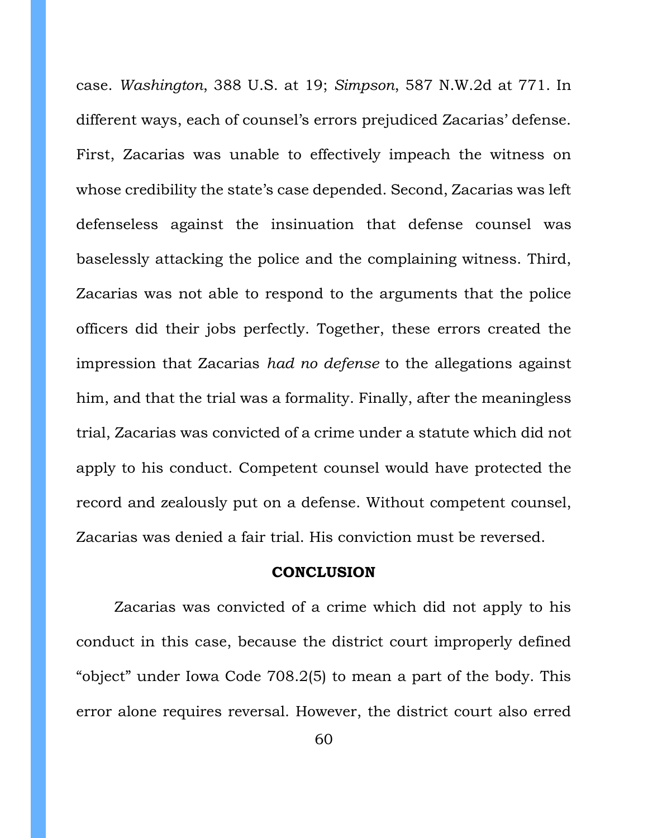case. *Washington*, 388 U.S. at 19; *Simpson*, 587 N.W.2d at 771. In different ways, each of counsel's errors prejudiced Zacarias' defense. First, Zacarias was unable to effectively impeach the witness on whose credibility the state's case depended. Second, Zacarias was left defenseless against the insinuation that defense counsel was baselessly attacking the police and the complaining witness. Third, Zacarias was not able to respond to the arguments that the police officers did their jobs perfectly. Together, these errors created the impression that Zacarias *had no defense* to the allegations against him, and that the trial was a formality. Finally, after the meaningless trial, Zacarias was convicted of a crime under a statute which did not apply to his conduct. Competent counsel would have protected the record and zealously put on a defense. Without competent counsel, Zacarias was denied a fair trial. His conviction must be reversed.

### **CONCLUSION**

<span id="page-59-0"></span>Zacarias was convicted of a crime which did not apply to his conduct in this case, because the district court improperly defined "object" under Iowa Code 708.2(5) to mean a part of the body. This error alone requires reversal. However, the district court also erred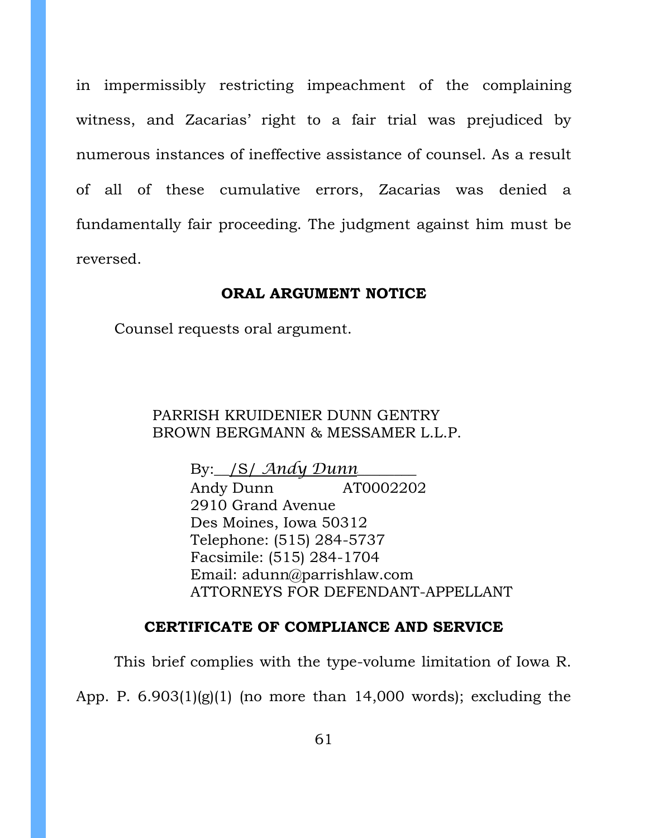in impermissibly restricting impeachment of the complaining witness, and Zacarias' right to a fair trial was prejudiced by numerous instances of ineffective assistance of counsel. As a result of all of these cumulative errors, Zacarias was denied a fundamentally fair proceeding. The judgment against him must be reversed.

#### **ORAL ARGUMENT NOTICE**

<span id="page-60-0"></span>Counsel requests oral argument.

### PARRISH KRUIDENIER DUNN GENTRY BROWN BERGMANN & MESSAMER L.L.P.

By:\_\_/S/ *Andy Dunn*\_\_\_\_\_\_\_\_ Andy Dunn AT0002202 2910 Grand Avenue Des Moines, Iowa 50312 Telephone: (515) 284-5737 Facsimile: (515) 284-1704 Email: adunn@parrishlaw.com ATTORNEYS FOR DEFENDANT-APPELLANT

### **CERTIFICATE OF COMPLIANCE AND SERVICE**

<span id="page-60-1"></span>This brief complies with the type-volume limitation of Iowa R.

App. P.  $6.903(1)(g)(1)$  (no more than 14,000 words); excluding the